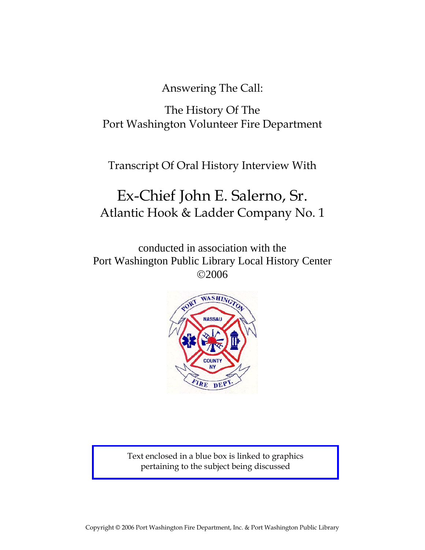Answering The Call:

The History Of The Port Washington Volunteer Fire Department

Transcript Of Oral History Interview With

# Ex-Chief John E. Salerno, Sr. Atlantic Hook & Ladder Company No. 1

conducted in association with the Port Washington Public Library Local History Center ©2006



Text enclosed in a blue box is linked to graphics pertaining to the subject being discussed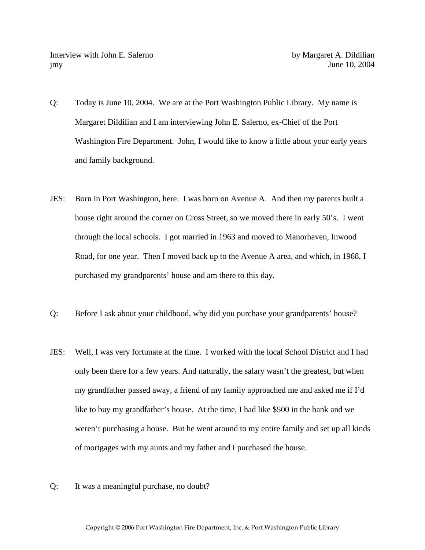- Q: Today is June 10, 2004. We are at the Port Washington Public Library. My name is Margaret Dildilian and I am interviewing John E. Salerno, ex-Chief of the Port Washington Fire Department. John, I would like to know a little about your early years and family background.
- JES: Born in Port Washington, here. I was born on Avenue A. And then my parents built a house right around the corner on Cross Street, so we moved there in early 50's. I went through the local schools. I got married in 1963 and moved to Manorhaven, Inwood Road, for one year. Then I moved back up to the Avenue A area, and which, in 1968, I purchased my grandparents' house and am there to this day.
- Q: Before I ask about your childhood, why did you purchase your grandparents' house?
- JES: Well, I was very fortunate at the time. I worked with the local School District and I had only been there for a few years. And naturally, the salary wasn't the greatest, but when my grandfather passed away, a friend of my family approached me and asked me if I'd like to buy my grandfather's house. At the time, I had like \$500 in the bank and we weren't purchasing a house. But he went around to my entire family and set up all kinds of mortgages with my aunts and my father and I purchased the house.
- Q: It was a meaningful purchase, no doubt?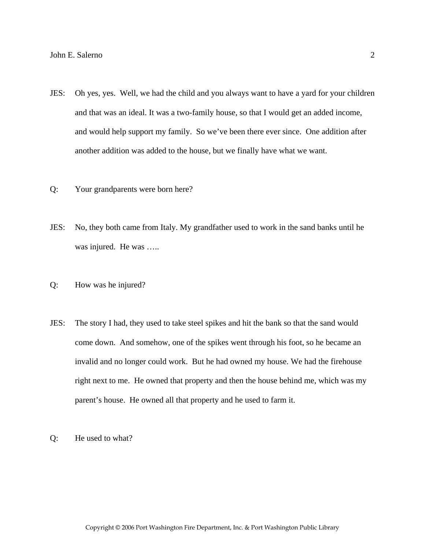- JES: Oh yes, yes. Well, we had the child and you always want to have a yard for your children and that was an ideal. It was a two-family house, so that I would get an added income, and would help support my family. So we've been there ever since. One addition after another addition was added to the house, but we finally have what we want.
- Q: Your grandparents were born here?
- JES: No, they both came from Italy. My grandfather used to work in the sand banks until he was injured. He was .....
- Q: How was he injured?
- JES: The story I had, they used to take steel spikes and hit the bank so that the sand would come down. And somehow, one of the spikes went through his foot, so he became an invalid and no longer could work. But he had owned my house. We had the firehouse right next to me. He owned that property and then the house behind me, which was my parent's house. He owned all that property and he used to farm it.
- Q: He used to what?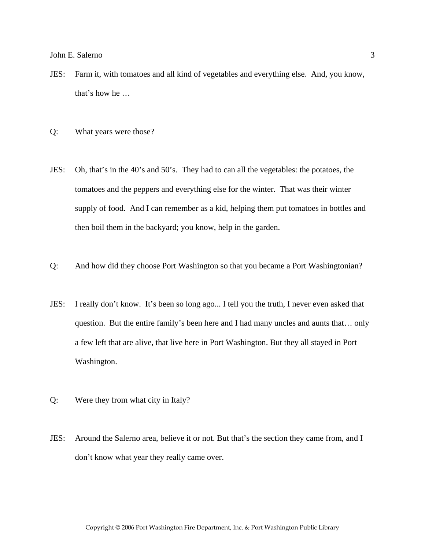- JES: Farm it, with tomatoes and all kind of vegetables and everything else. And, you know, that's how he …
- Q: What years were those?
- JES: Oh, that's in the 40's and 50's. They had to can all the vegetables: the potatoes, the tomatoes and the peppers and everything else for the winter. That was their winter supply of food. And I can remember as a kid, helping them put tomatoes in bottles and then boil them in the backyard; you know, help in the garden.
- Q: And how did they choose Port Washington so that you became a Port Washingtonian?
- JES: I really don't know. It's been so long ago... I tell you the truth, I never even asked that question. But the entire family's been here and I had many uncles and aunts that… only a few left that are alive, that live here in Port Washington. But they all stayed in Port Washington.
- Q: Were they from what city in Italy?
- JES: Around the Salerno area, believe it or not. But that's the section they came from, and I don't know what year they really came over.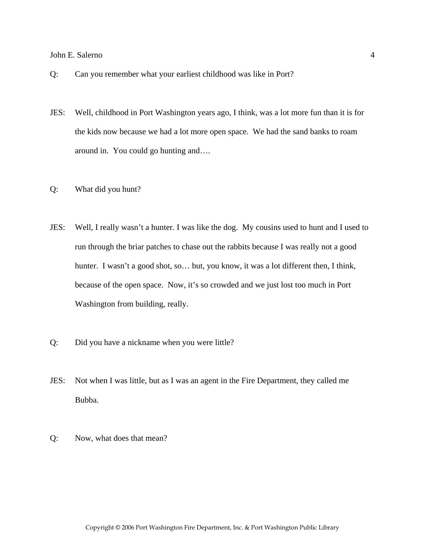- Q: Can you remember what your earliest childhood was like in Port?
- JES: Well, childhood in Port Washington years ago, I think, was a lot more fun than it is for the kids now because we had a lot more open space. We had the sand banks to roam around in. You could go hunting and….
- Q: What did you hunt?
- JES: Well, I really wasn't a hunter. I was like the dog. My cousins used to hunt and I used to run through the briar patches to chase out the rabbits because I was really not a good hunter. I wasn't a good shot, so... but, you know, it was a lot different then, I think, because of the open space. Now, it's so crowded and we just lost too much in Port Washington from building, really.
- Q: Did you have a nickname when you were little?
- JES: Not when I was little, but as I was an agent in the Fire Department, they called me Bubba.
- Q: Now, what does that mean?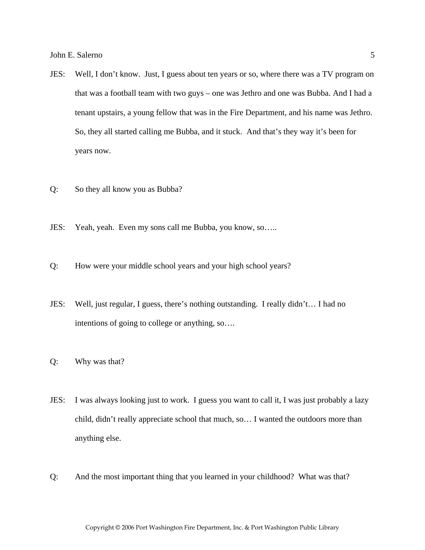- JES: Well, I don't know. Just, I guess about ten years or so, where there was a TV program on that was a football team with two guys – one was Jethro and one was Bubba. And I had a tenant upstairs, a young fellow that was in the Fire Department, and his name was Jethro. So, they all started calling me Bubba, and it stuck. And that's they way it's been for years now.
- Q: So they all know you as Bubba?
- JES: Yeah, yeah. Even my sons call me Bubba, you know, so…..
- Q: How were your middle school years and your high school years?
- JES: Well, just regular, I guess, there's nothing outstanding. I really didn't… I had no intentions of going to college or anything, so….
- Q: Why was that?
- JES: I was always looking just to work. I guess you want to call it, I was just probably a lazy child, didn't really appreciate school that much, so… I wanted the outdoors more than anything else.
- Q: And the most important thing that you learned in your childhood? What was that?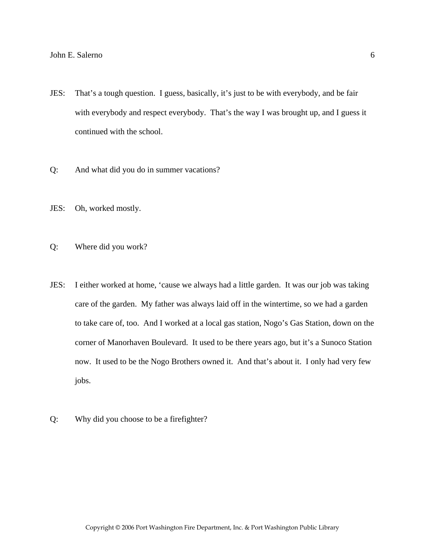- JES: That's a tough question. I guess, basically, it's just to be with everybody, and be fair with everybody and respect everybody. That's the way I was brought up, and I guess it continued with the school.
- Q: And what did you do in summer vacations?
- JES: Oh, worked mostly.
- Q: Where did you work?
- JES: I either worked at home, 'cause we always had a little garden. It was our job was taking care of the garden. My father was always laid off in the wintertime, so we had a garden to take care of, too. And I worked at a local gas station, Nogo's Gas Station, down on the corner of Manorhaven Boulevard. It used to be there years ago, but it's a Sunoco Station now. It used to be the Nogo Brothers owned it. And that's about it. I only had very few jobs.
- Q: Why did you choose to be a firefighter?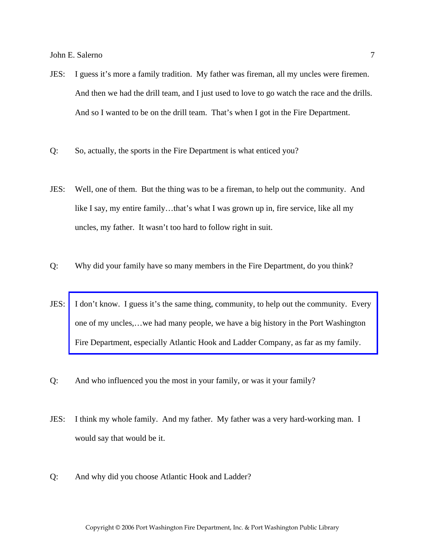- JES: I guess it's more a family tradition. My father was fireman, all my uncles were firemen. And then we had the drill team, and I just used to love to go watch the race and the drills. And so I wanted to be on the drill team. That's when I got in the Fire Department.
- Q: So, actually, the sports in the Fire Department is what enticed you?
- JES: Well, one of them. But the thing was to be a fireman, to help out the community. And like I say, my entire family...that's what I was grown up in, fire service, like all my uncles, my father. It wasn't too hard to follow right in suit.
- Q: Why did your family have so many members in the Fire Department, do you think?
- JES: [I don't know. I guess it's the same thing, community, to help out the community. Every](http://www.pwfdhistory.com/trans/salernoj_trans/fam_salernofamily_web.jpg)  one of my uncles,…we had many people, we have a big history in the Port Washington Fire Department, especially Atlantic Hook and Ladder Company, as far as my family.
- Q: And who influenced you the most in your family, or was it your family?
- JES: I think my whole family. And my father. My father was a very hard-working man. I would say that would be it.
- Q: And why did you choose Atlantic Hook and Ladder?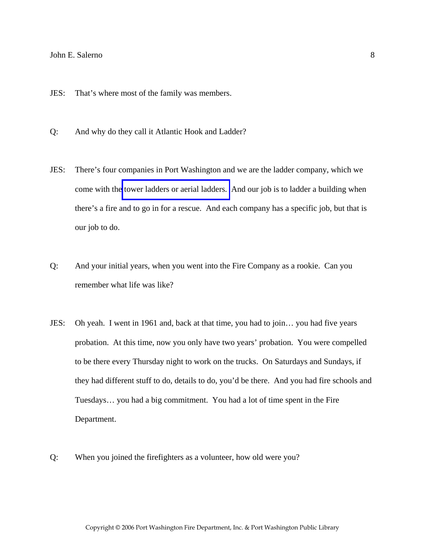- JES: That's where most of the family was members.
- Q: And why do they call it Atlantic Hook and Ladder?
- JES: There's four companies in Port Washington and we are the ladder company, which we come with the [tower ladders or aerial ladders.](http://www.pwfdhistory.com/trans/salernoj_trans/ahlco_truck21.jpg) And our job is to ladder a building when there's a fire and to go in for a rescue. And each company has a specific job, but that is our job to do.
- Q: And your initial years, when you went into the Fire Company as a rookie. Can you remember what life was like?
- JES: Oh yeah. I went in 1961 and, back at that time, you had to join… you had five years probation. At this time, now you only have two years' probation. You were compelled to be there every Thursday night to work on the trucks. On Saturdays and Sundays, if they had different stuff to do, details to do, you'd be there. And you had fire schools and Tuesdays… you had a big commitment. You had a lot of time spent in the Fire Department.
- Q: When you joined the firefighters as a volunteer, how old were you?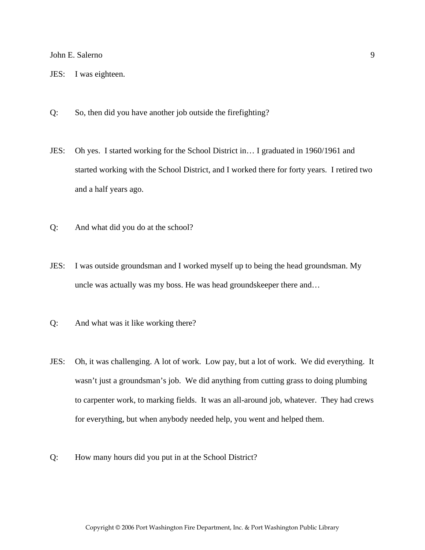- JES: I was eighteen.
- Q: So, then did you have another job outside the firefighting?
- JES: Oh yes. I started working for the School District in… I graduated in 1960/1961 and started working with the School District, and I worked there for forty years. I retired two and a half years ago.
- Q: And what did you do at the school?
- JES: I was outside groundsman and I worked myself up to being the head groundsman. My uncle was actually was my boss. He was head groundskeeper there and…
- Q: And what was it like working there?
- JES: Oh, it was challenging. A lot of work. Low pay, but a lot of work. We did everything. It wasn't just a groundsman's job. We did anything from cutting grass to doing plumbing to carpenter work, to marking fields. It was an all-around job, whatever. They had crews for everything, but when anybody needed help, you went and helped them.
- Q: How many hours did you put in at the School District?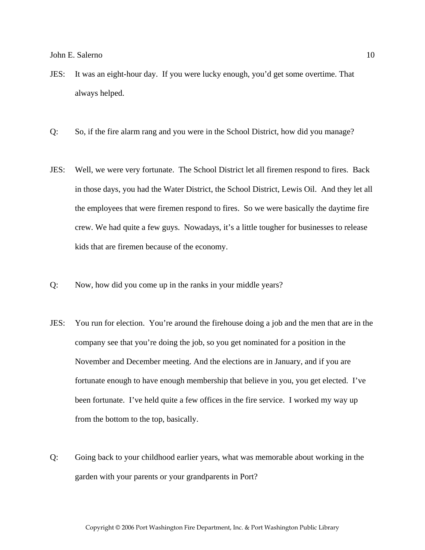- JES: It was an eight-hour day. If you were lucky enough, you'd get some overtime. That always helped.
- Q: So, if the fire alarm rang and you were in the School District, how did you manage?
- JES: Well, we were very fortunate. The School District let all firemen respond to fires. Back in those days, you had the Water District, the School District, Lewis Oil. And they let all the employees that were firemen respond to fires. So we were basically the daytime fire crew. We had quite a few guys. Nowadays, it's a little tougher for businesses to release kids that are firemen because of the economy.
- Q: Now, how did you come up in the ranks in your middle years?
- JES: You run for election. You're around the firehouse doing a job and the men that are in the company see that you're doing the job, so you get nominated for a position in the November and December meeting. And the elections are in January, and if you are fortunate enough to have enough membership that believe in you, you get elected. I've been fortunate. I've held quite a few offices in the fire service. I worked my way up from the bottom to the top, basically.
- Q: Going back to your childhood earlier years, what was memorable about working in the garden with your parents or your grandparents in Port?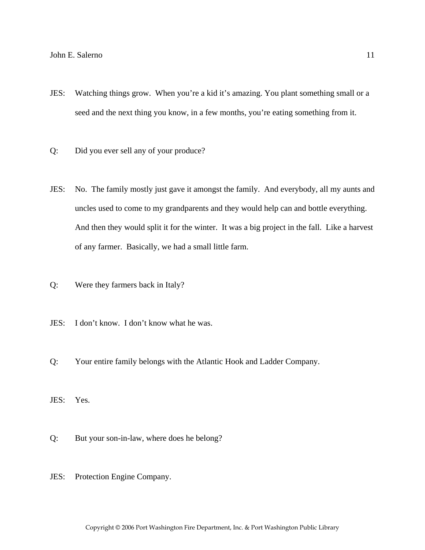- JES: Watching things grow. When you're a kid it's amazing. You plant something small or a seed and the next thing you know, in a few months, you're eating something from it.
- Q: Did you ever sell any of your produce?
- JES: No. The family mostly just gave it amongst the family. And everybody, all my aunts and uncles used to come to my grandparents and they would help can and bottle everything. And then they would split it for the winter. It was a big project in the fall. Like a harvest of any farmer. Basically, we had a small little farm.
- Q: Were they farmers back in Italy?
- JES: I don't know. I don't know what he was.
- Q: Your entire family belongs with the Atlantic Hook and Ladder Company.
- JES: Yes.
- Q: But your son-in-law, where does he belong?
- JES: Protection Engine Company.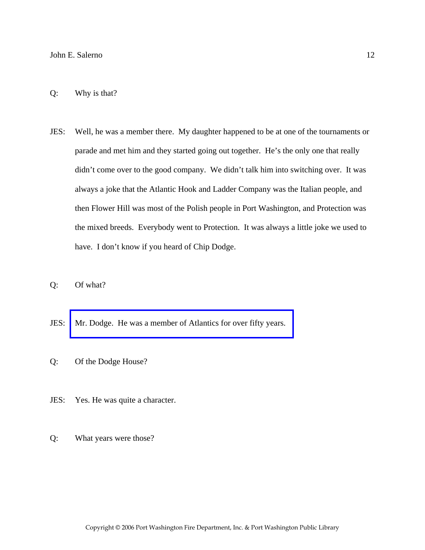## Q: Why is that?

- JES: Well, he was a member there. My daughter happened to be at one of the tournaments or parade and met him and they started going out together. He's the only one that really didn't come over to the good company. We didn't talk him into switching over. It was always a joke that the Atlantic Hook and Ladder Company was the Italian people, and then Flower Hill was most of the Polish people in Port Washington, and Protection was the mixed breeds. Everybody went to Protection. It was always a little joke we used to have. I don't know if you heard of Chip Dodge.
- Q: Of what?
- JES: [Mr. Dodge. He was a member of Atlantics for over fifty years.](http://www.pwfdhistory.com/trans/salernoj_trans/news_cocks237a.pdf)
- Q: Of the Dodge House?
- JES: Yes. He was quite a character.
- Q: What years were those?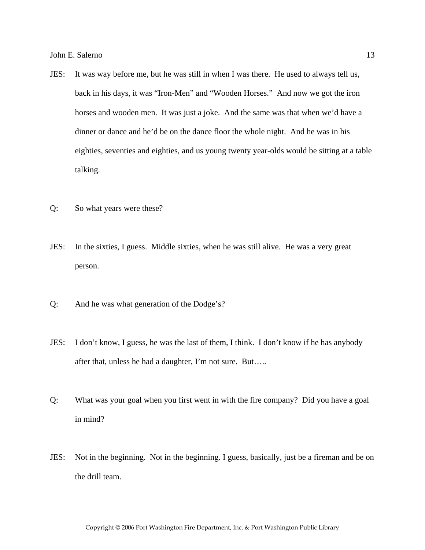- JES: It was way before me, but he was still in when I was there. He used to always tell us, back in his days, it was "Iron-Men" and "Wooden Horses." And now we got the iron horses and wooden men. It was just a joke. And the same was that when we'd have a dinner or dance and he'd be on the dance floor the whole night. And he was in his eighties, seventies and eighties, and us young twenty year-olds would be sitting at a table talking.
- Q: So what years were these?
- JES: In the sixties, I guess. Middle sixties, when he was still alive. He was a very great person.
- Q: And he was what generation of the Dodge's?
- JES: I don't know, I guess, he was the last of them, I think. I don't know if he has anybody after that, unless he had a daughter, I'm not sure. But…..
- Q: What was your goal when you first went in with the fire company? Did you have a goal in mind?
- JES: Not in the beginning. Not in the beginning. I guess, basically, just be a fireman and be on the drill team.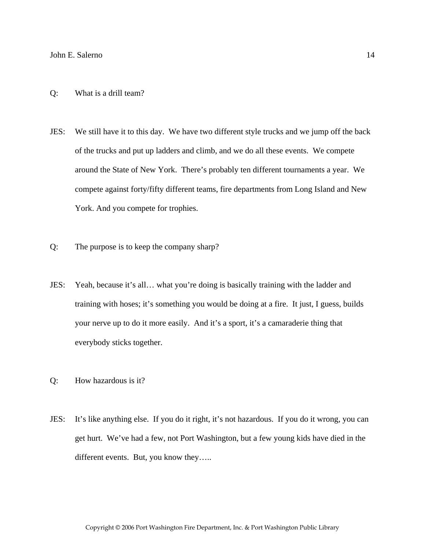- JES: We still have it to this day. We have two different style trucks and we jump off the back of the trucks and put up ladders and climb, and we do all these events. We compete around the State of New York. There's probably ten different tournaments a year. We compete against forty/fifty different teams, fire departments from Long Island and New York. And you compete for trophies.
- Q: The purpose is to keep the company sharp?
- JES: Yeah, because it's all… what you're doing is basically training with the ladder and training with hoses; it's something you would be doing at a fire. It just, I guess, builds your nerve up to do it more easily. And it's a sport, it's a camaraderie thing that everybody sticks together.
- Q: How hazardous is it?
- JES: It's like anything else. If you do it right, it's not hazardous. If you do it wrong, you can get hurt. We've had a few, not Port Washington, but a few young kids have died in the different events. But, you know they.....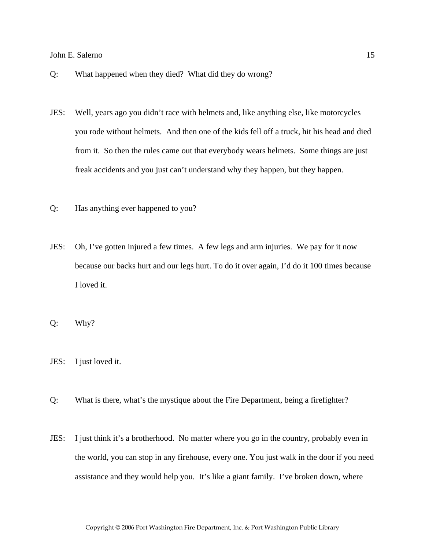- Q: What happened when they died? What did they do wrong?
- JES: Well, years ago you didn't race with helmets and, like anything else, like motorcycles you rode without helmets. And then one of the kids fell off a truck, hit his head and died from it. So then the rules came out that everybody wears helmets. Some things are just freak accidents and you just can't understand why they happen, but they happen.
- Q: Has anything ever happened to you?
- JES: Oh, I've gotten injured a few times. A few legs and arm injuries. We pay for it now because our backs hurt and our legs hurt. To do it over again, I'd do it 100 times because I loved it.

Q: Why?

- JES: I just loved it.
- Q: What is there, what's the mystique about the Fire Department, being a firefighter?
- JES: I just think it's a brotherhood. No matter where you go in the country, probably even in the world, you can stop in any firehouse, every one. You just walk in the door if you need assistance and they would help you. It's like a giant family. I've broken down, where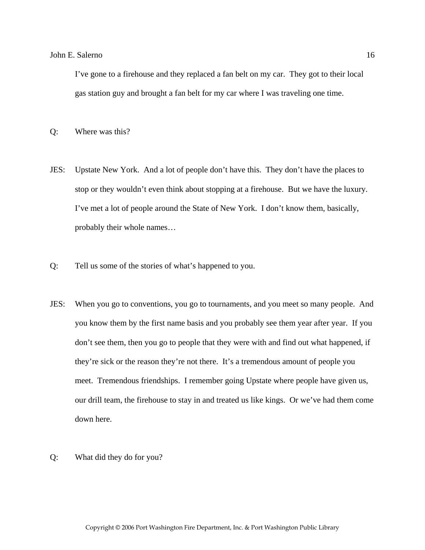I've gone to a firehouse and they replaced a fan belt on my car. They got to their local gas station guy and brought a fan belt for my car where I was traveling one time.

- Q: Where was this?
- JES: Upstate New York. And a lot of people don't have this. They don't have the places to stop or they wouldn't even think about stopping at a firehouse. But we have the luxury. I've met a lot of people around the State of New York. I don't know them, basically, probably their whole names…
- Q: Tell us some of the stories of what's happened to you.
- JES: When you go to conventions, you go to tournaments, and you meet so many people. And you know them by the first name basis and you probably see them year after year. If you don't see them, then you go to people that they were with and find out what happened, if they're sick or the reason they're not there. It's a tremendous amount of people you meet. Tremendous friendships. I remember going Upstate where people have given us, our drill team, the firehouse to stay in and treated us like kings. Or we've had them come down here.
- Q: What did they do for you?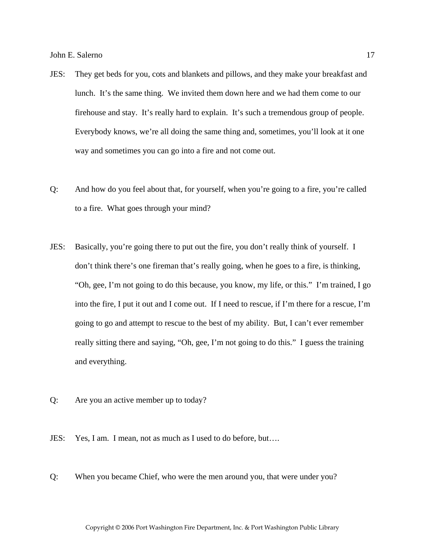- JES: They get beds for you, cots and blankets and pillows, and they make your breakfast and lunch. It's the same thing. We invited them down here and we had them come to our firehouse and stay. It's really hard to explain. It's such a tremendous group of people. Everybody knows, we're all doing the same thing and, sometimes, you'll look at it one way and sometimes you can go into a fire and not come out.
- Q: And how do you feel about that, for yourself, when you're going to a fire, you're called to a fire. What goes through your mind?
- JES: Basically, you're going there to put out the fire, you don't really think of yourself. I don't think there's one fireman that's really going, when he goes to a fire, is thinking, "Oh, gee, I'm not going to do this because, you know, my life, or this." I'm trained, I go into the fire, I put it out and I come out. If I need to rescue, if I'm there for a rescue, I'm going to go and attempt to rescue to the best of my ability. But, I can't ever remember really sitting there and saying, "Oh, gee, I'm not going to do this." I guess the training and everything.
- Q: Are you an active member up to today?
- JES: Yes, I am. I mean, not as much as I used to do before, but….
- Q: When you became Chief, who were the men around you, that were under you?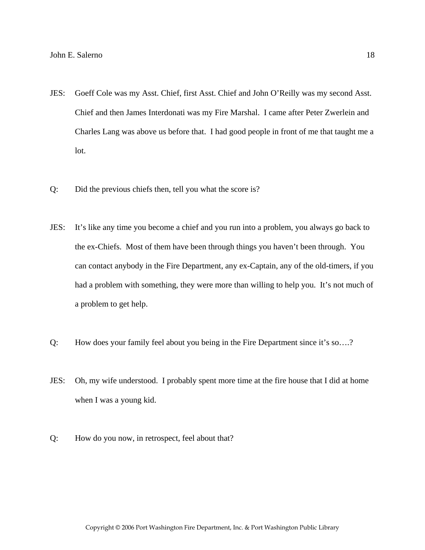- JES: Goeff Cole was my Asst. Chief, first Asst. Chief and John O'Reilly was my second Asst. Chief and then James Interdonati was my Fire Marshal. I came after Peter Zwerlein and Charles Lang was above us before that. I had good people in front of me that taught me a lot.
- Q: Did the previous chiefs then, tell you what the score is?
- JES: It's like any time you become a chief and you run into a problem, you always go back to the ex-Chiefs. Most of them have been through things you haven't been through. You can contact anybody in the Fire Department, any ex-Captain, any of the old-timers, if you had a problem with something, they were more than willing to help you. It's not much of a problem to get help.
- Q: How does your family feel about you being in the Fire Department since it's so….?
- JES: Oh, my wife understood. I probably spent more time at the fire house that I did at home when I was a young kid.
- Q: How do you now, in retrospect, feel about that?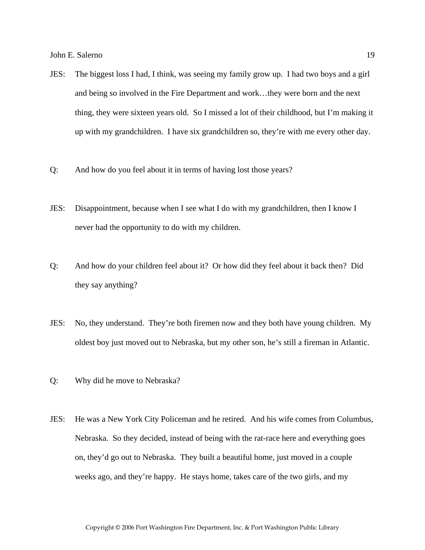- JES: The biggest loss I had, I think, was seeing my family grow up. I had two boys and a girl and being so involved in the Fire Department and work…they were born and the next thing, they were sixteen years old. So I missed a lot of their childhood, but I'm making it up with my grandchildren. I have six grandchildren so, they're with me every other day.
- Q: And how do you feel about it in terms of having lost those years?
- JES: Disappointment, because when I see what I do with my grandchildren, then I know I never had the opportunity to do with my children.
- Q: And how do your children feel about it? Or how did they feel about it back then? Did they say anything?
- JES: No, they understand. They're both firemen now and they both have young children. My oldest boy just moved out to Nebraska, but my other son, he's still a fireman in Atlantic.
- Q: Why did he move to Nebraska?
- JES: He was a New York City Policeman and he retired. And his wife comes from Columbus, Nebraska. So they decided, instead of being with the rat-race here and everything goes on, they'd go out to Nebraska. They built a beautiful home, just moved in a couple weeks ago, and they're happy. He stays home, takes care of the two girls, and my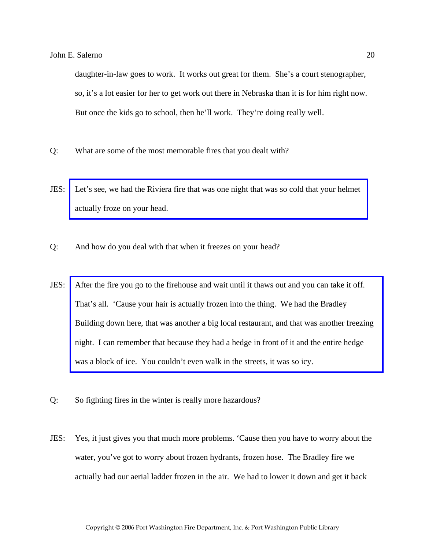daughter-in-law goes to work. It works out great for them. She's a court stenographer, so, it's a lot easier for her to get work out there in Nebraska than it is for him right now. But once the kids go to school, then he'll work. They're doing really well.

- Q: What are some of the most memorable fires that you dealt with?
- JES: [Let's see, we had the Riviera fire that was one night that was so cold that your helmet](http://www.pwfdhistory.com/trans/salernoj_trans/pwfd_fires_riviera.pdf)  actually froze on your head.
- Q: And how do you deal with that when it freezes on your head?
- JES: After the fire you go to the firehouse and wait until it thaws out and you can take it off. That's all. 'Cause your hair is actually frozen into the thing. We had the Bradley [Building down here, that was another a big local restaurant, and that was another freezing](http://www.pwfdhistory.com/trans/salernoj_trans/peco_fires036.pdf)  night. I can remember that because they had a hedge in front of it and the entire hedge was a block of ice. You couldn't even walk in the streets, it was so icy.
- Q: So fighting fires in the winter is really more hazardous?
- JES: Yes, it just gives you that much more problems. 'Cause then you have to worry about the water, you've got to worry about frozen hydrants, frozen hose. The Bradley fire we actually had our aerial ladder frozen in the air. We had to lower it down and get it back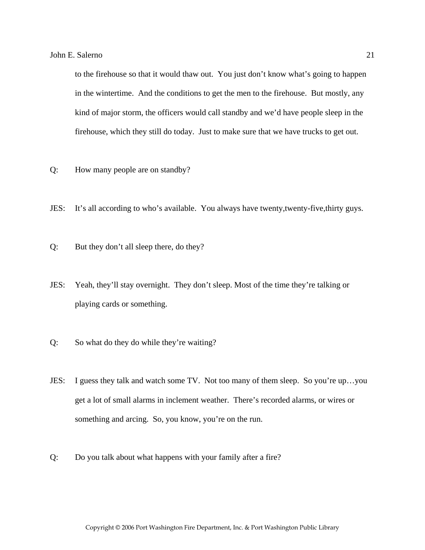to the firehouse so that it would thaw out. You just don't know what's going to happen in the wintertime. And the conditions to get the men to the firehouse. But mostly, any kind of major storm, the officers would call standby and we'd have people sleep in the firehouse, which they still do today. Just to make sure that we have trucks to get out.

- Q: How many people are on standby?
- JES: It's all according to who's available. You always have twenty,twenty-five,thirty guys.
- Q: But they don't all sleep there, do they?
- JES: Yeah, they'll stay overnight. They don't sleep. Most of the time they're talking or playing cards or something.
- Q: So what do they do while they're waiting?
- JES: I guess they talk and watch some TV. Not too many of them sleep. So you're up…you get a lot of small alarms in inclement weather. There's recorded alarms, or wires or something and arcing. So, you know, you're on the run.
- Q: Do you talk about what happens with your family after a fire?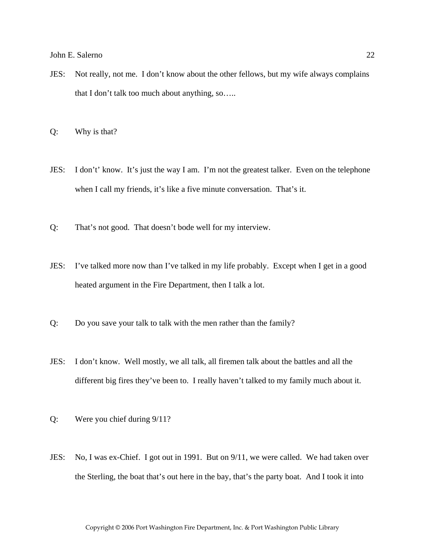JES: Not really, not me. I don't know about the other fellows, but my wife always complains that I don't talk too much about anything, so…..

Q: Why is that?

- JES: I don't' know. It's just the way I am. I'm not the greatest talker. Even on the telephone when I call my friends, it's like a five minute conversation. That's it.
- Q: That's not good. That doesn't bode well for my interview.
- JES: I've talked more now than I've talked in my life probably. Except when I get in a good heated argument in the Fire Department, then I talk a lot.
- Q: Do you save your talk to talk with the men rather than the family?
- JES: I don't know. Well mostly, we all talk, all firemen talk about the battles and all the different big fires they've been to. I really haven't talked to my family much about it.
- Q: Were you chief during 9/11?
- JES: No, I was ex-Chief. I got out in 1991. But on 9/11, we were called. We had taken over the Sterling, the boat that's out here in the bay, that's the party boat. And I took it into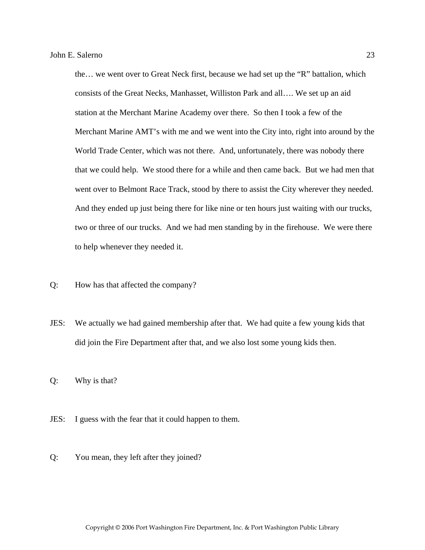the… we went over to Great Neck first, because we had set up the "R" battalion, which consists of the Great Necks, Manhasset, Williston Park and all…. We set up an aid station at the Merchant Marine Academy over there. So then I took a few of the Merchant Marine AMT's with me and we went into the City into, right into around by the World Trade Center, which was not there. And, unfortunately, there was nobody there that we could help. We stood there for a while and then came back. But we had men that went over to Belmont Race Track, stood by there to assist the City wherever they needed. And they ended up just being there for like nine or ten hours just waiting with our trucks, two or three of our trucks. And we had men standing by in the firehouse. We were there to help whenever they needed it.

- Q: How has that affected the company?
- JES: We actually we had gained membership after that. We had quite a few young kids that did join the Fire Department after that, and we also lost some young kids then.

Q: Why is that?

- JES: I guess with the fear that it could happen to them.
- Q: You mean, they left after they joined?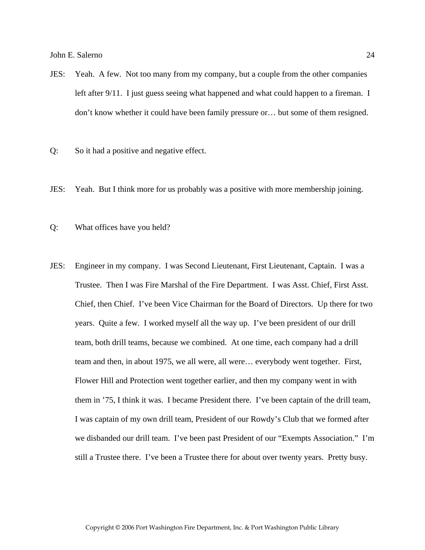- JES: Yeah. A few. Not too many from my company, but a couple from the other companies left after 9/11. I just guess seeing what happened and what could happen to a fireman. I don't know whether it could have been family pressure or… but some of them resigned.
- Q: So it had a positive and negative effect.
- JES: Yeah. But I think more for us probably was a positive with more membership joining.
- Q: What offices have you held?
- JES: Engineer in my company. I was Second Lieutenant, First Lieutenant, Captain. I was a Trustee. Then I was Fire Marshal of the Fire Department. I was Asst. Chief, First Asst. Chief, then Chief. I've been Vice Chairman for the Board of Directors. Up there for two years. Quite a few. I worked myself all the way up. I've been president of our drill team, both drill teams, because we combined. At one time, each company had a drill team and then, in about 1975, we all were, all were… everybody went together. First, Flower Hill and Protection went together earlier, and then my company went in with them in '75, I think it was. I became President there. I've been captain of the drill team, I was captain of my own drill team, President of our Rowdy's Club that we formed after we disbanded our drill team. I've been past President of our "Exempts Association." I'm still a Trustee there. I've been a Trustee there for about over twenty years. Pretty busy.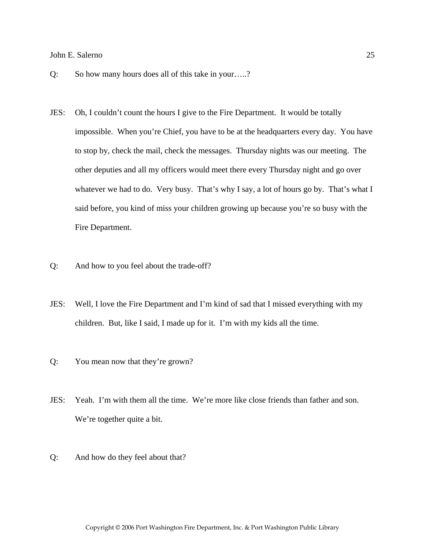- Q: So how many hours does all of this take in your…..?
- JES: Oh, I couldn't count the hours I give to the Fire Department. It would be totally impossible. When you're Chief, you have to be at the headquarters every day. You have to stop by, check the mail, check the messages. Thursday nights was our meeting. The other deputies and all my officers would meet there every Thursday night and go over whatever we had to do. Very busy. That's why I say, a lot of hours go by. That's what I said before, you kind of miss your children growing up because you're so busy with the Fire Department.
- Q: And how to you feel about the trade-off?
- JES: Well, I love the Fire Department and I'm kind of sad that I missed everything with my children. But, like I said, I made up for it. I'm with my kids all the time.
- Q: You mean now that they're grown?
- JES: Yeah. I'm with them all the time. We're more like close friends than father and son. We're together quite a bit.
- Q: And how do they feel about that?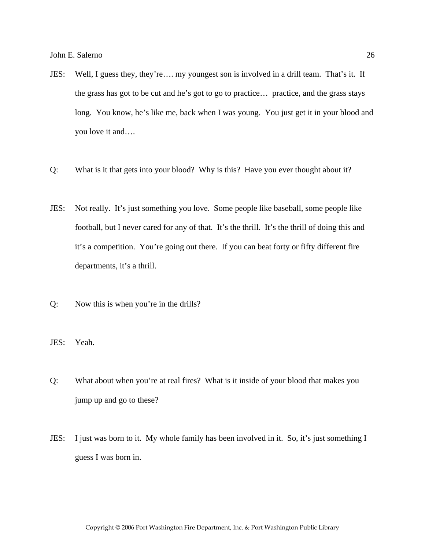- JES: Well, I guess they, they're…. my youngest son is involved in a drill team. That's it. If the grass has got to be cut and he's got to go to practice… practice, and the grass stays long. You know, he's like me, back when I was young. You just get it in your blood and you love it and….
- Q: What is it that gets into your blood? Why is this? Have you ever thought about it?
- JES: Not really. It's just something you love. Some people like baseball, some people like football, but I never cared for any of that. It's the thrill. It's the thrill of doing this and it's a competition. You're going out there. If you can beat forty or fifty different fire departments, it's a thrill.
- Q: Now this is when you're in the drills?
- JES: Yeah.
- Q: What about when you're at real fires? What is it inside of your blood that makes you jump up and go to these?
- JES: I just was born to it. My whole family has been involved in it. So, it's just something I guess I was born in.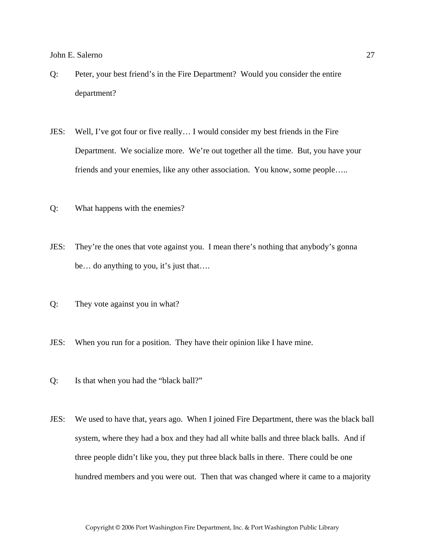- Q: Peter, your best friend's in the Fire Department? Would you consider the entire department?
- JES: Well, I've got four or five really… I would consider my best friends in the Fire Department. We socialize more. We're out together all the time. But, you have your friends and your enemies, like any other association. You know, some people…..
- Q: What happens with the enemies?
- JES: They're the ones that vote against you. I mean there's nothing that anybody's gonna be… do anything to you, it's just that….
- Q: They vote against you in what?
- JES: When you run for a position. They have their opinion like I have mine.
- Q: Is that when you had the "black ball?"
- JES: We used to have that, years ago. When I joined Fire Department, there was the black ball system, where they had a box and they had all white balls and three black balls. And if three people didn't like you, they put three black balls in there. There could be one hundred members and you were out. Then that was changed where it came to a majority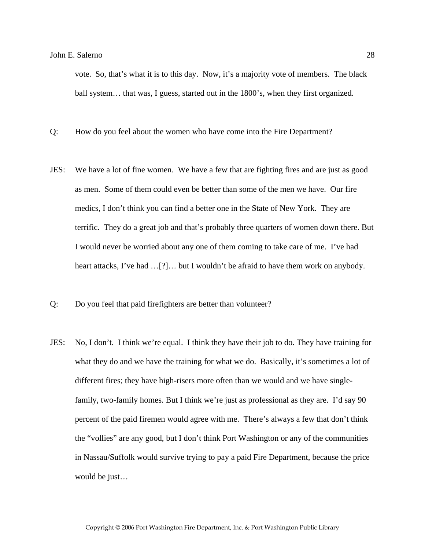vote. So, that's what it is to this day. Now, it's a majority vote of members. The black ball system… that was, I guess, started out in the 1800's, when they first organized.

- Q: How do you feel about the women who have come into the Fire Department?
- JES: We have a lot of fine women. We have a few that are fighting fires and are just as good as men. Some of them could even be better than some of the men we have. Our fire medics, I don't think you can find a better one in the State of New York. They are terrific. They do a great job and that's probably three quarters of women down there. But I would never be worried about any one of them coming to take care of me. I've had heart attacks, I've had ...[?]... but I wouldn't be afraid to have them work on anybody.
- Q: Do you feel that paid firefighters are better than volunteer?
- JES: No, I don't. I think we're equal. I think they have their job to do. They have training for what they do and we have the training for what we do. Basically, it's sometimes a lot of different fires; they have high-risers more often than we would and we have singlefamily, two-family homes. But I think we're just as professional as they are. I'd say 90 percent of the paid firemen would agree with me. There's always a few that don't think the "vollies" are any good, but I don't think Port Washington or any of the communities in Nassau/Suffolk would survive trying to pay a paid Fire Department, because the price would be just…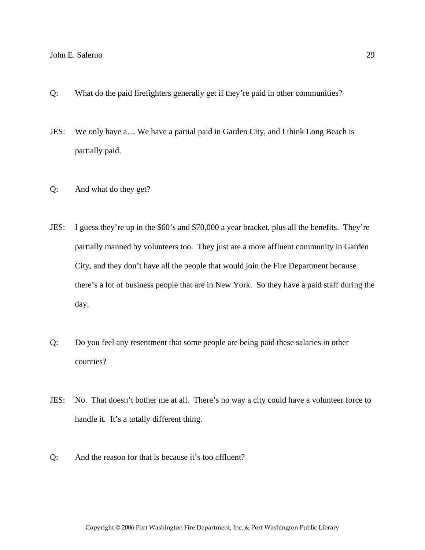- Q: What do the paid firefighters generally get if they're paid in other communities?
- JES: We only have a… We have a partial paid in Garden City, and I think Long Beach is partially paid.
- Q: And what do they get?
- JES: I guess they're up in the \$60's and \$70,000 a year bracket, plus all the benefits. They're partially manned by volunteers too. They just are a more affluent community in Garden City, and they don't have all the people that would join the Fire Department because there's a lot of business people that are in New York. So they have a paid staff during the day.
- Q: Do you feel any resentment that some people are being paid these salaries in other counties?
- JES: No. That doesn't bother me at all. There's no way a city could have a volunteer force to handle it. It's a totally different thing.
- Q: And the reason for that is because it's too affluent?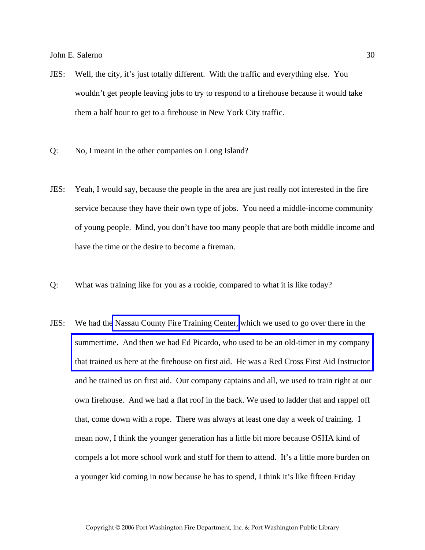- JES: Well, the city, it's just totally different. With the traffic and everything else. You wouldn't get people leaving jobs to try to respond to a firehouse because it would take them a half hour to get to a firehouse in New York City traffic.
- Q: No, I meant in the other companies on Long Island?
- JES: Yeah, I would say, because the people in the area are just really not interested in the fire service because they have their own type of jobs. You need a middle-income community of young people. Mind, you don't have too many people that are both middle income and have the time or the desire to become a fireman.
- Q: What was training like for you as a rookie, compared to what it is like today?
- JES: We had th[e Nassau County Fire Training Center,](http://www.veebfsa.org) which we used to go over there in the summertime. And then we had Ed Picardo, who used to be an old-timer in my company [that trained us here at the firehouse on first aid. He was a Red Cross First Aid Instructor](http://www.pwfdhistory.com/trans/salernoj_trans/fmco_trng07_web.jpg)  and he trained us on first aid. Our company captains and all, we used to train right at our own firehouse. And we had a flat roof in the back. We used to ladder that and rappel off that, come down with a rope. There was always at least one day a week of training. I mean now, I think the younger generation has a little bit more because OSHA kind of compels a lot more school work and stuff for them to attend. It's a little more burden on a younger kid coming in now because he has to spend, I think it's like fifteen Friday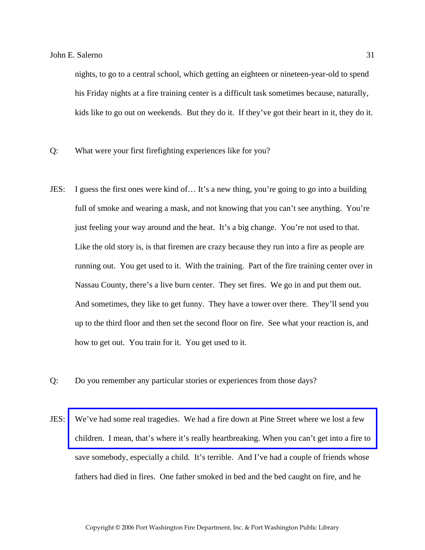nights, to go to a central school, which getting an eighteen or nineteen-year-old to spend his Friday nights at a fire training center is a difficult task sometimes because, naturally, kids like to go out on weekends. But they do it. If they've got their heart in it, they do it.

- Q: What were your first firefighting experiences like for you?
- JES: I guess the first ones were kind of… It's a new thing, you're going to go into a building full of smoke and wearing a mask, and not knowing that you can't see anything. You're just feeling your way around and the heat. It's a big change. You're not used to that. Like the old story is, is that firemen are crazy because they run into a fire as people are running out. You get used to it. With the training. Part of the fire training center over in Nassau County, there's a live burn center. They set fires. We go in and put them out. And sometimes, they like to get funny. They have a tower over there. They'll send you up to the third floor and then set the second floor on fire. See what your reaction is, and how to get out. You train for it. You get used to it.
- Q: Do you remember any particular stories or experiences from those days?
- JES: [We've had some real tragedies. We had a fire down at Pine Street where we lost a few](http://www.pwfdhistory.com/trans/salernoj_trans/pwfd_fires07.pdf)  children. I mean, that's where it's really heartbreaking. When you can't get into a fire to save somebody, especially a child. It's terrible. And I've had a couple of friends whose fathers had died in fires. One father smoked in bed and the bed caught on fire, and he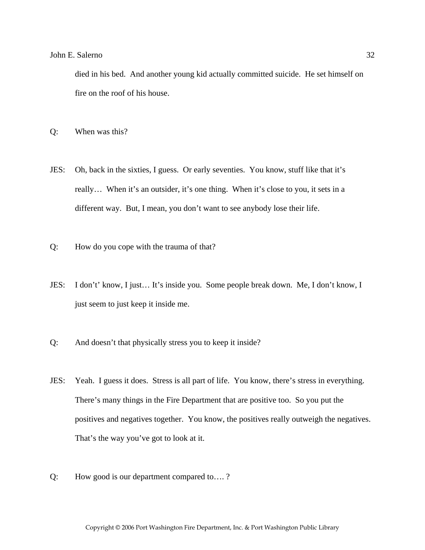died in his bed. And another young kid actually committed suicide. He set himself on fire on the roof of his house.

- Q: When was this?
- JES: Oh, back in the sixties, I guess. Or early seventies. You know, stuff like that it's really… When it's an outsider, it's one thing. When it's close to you, it sets in a different way. But, I mean, you don't want to see anybody lose their life.
- Q: How do you cope with the trauma of that?
- JES: I don't' know, I just… It's inside you. Some people break down. Me, I don't know, I just seem to just keep it inside me.
- Q: And doesn't that physically stress you to keep it inside?
- JES: Yeah. I guess it does. Stress is all part of life. You know, there's stress in everything. There's many things in the Fire Department that are positive too. So you put the positives and negatives together. You know, the positives really outweigh the negatives. That's the way you've got to look at it.
- Q: How good is our department compared to…. ?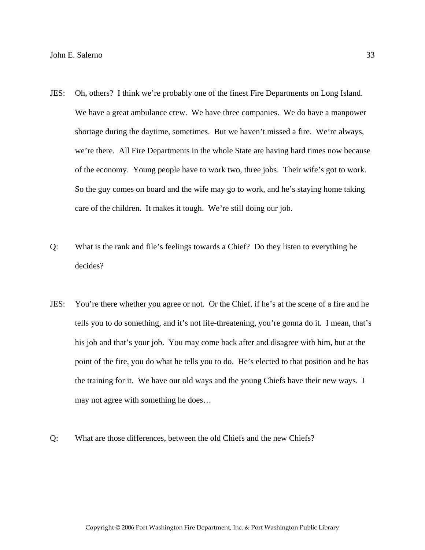- JES: Oh, others? I think we're probably one of the finest Fire Departments on Long Island. We have a great ambulance crew. We have three companies. We do have a manpower shortage during the daytime, sometimes. But we haven't missed a fire. We're always, we're there. All Fire Departments in the whole State are having hard times now because of the economy. Young people have to work two, three jobs. Their wife's got to work. So the guy comes on board and the wife may go to work, and he's staying home taking care of the children. It makes it tough. We're still doing our job.
- Q: What is the rank and file's feelings towards a Chief? Do they listen to everything he decides?
- JES: You're there whether you agree or not. Or the Chief, if he's at the scene of a fire and he tells you to do something, and it's not life-threatening, you're gonna do it. I mean, that's his job and that's your job. You may come back after and disagree with him, but at the point of the fire, you do what he tells you to do. He's elected to that position and he has the training for it. We have our old ways and the young Chiefs have their new ways. I may not agree with something he does…
- Q: What are those differences, between the old Chiefs and the new Chiefs?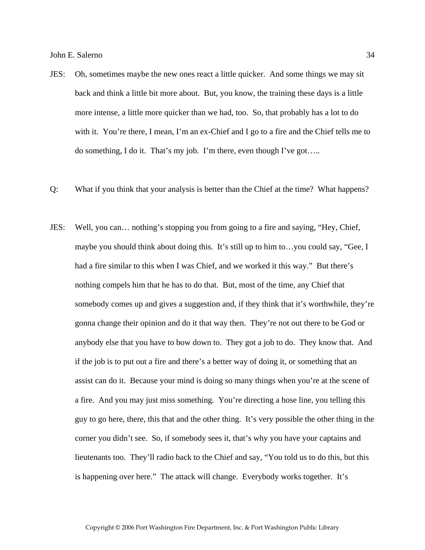- JES: Oh, sometimes maybe the new ones react a little quicker. And some things we may sit back and think a little bit more about. But, you know, the training these days is a little more intense, a little more quicker than we had, too. So, that probably has a lot to do with it. You're there, I mean, I'm an ex-Chief and I go to a fire and the Chief tells me to do something, I do it. That's my job. I'm there, even though I've got…..
- Q: What if you think that your analysis is better than the Chief at the time? What happens?
- JES: Well, you can… nothing's stopping you from going to a fire and saying, "Hey, Chief, maybe you should think about doing this. It's still up to him to…you could say, "Gee, I had a fire similar to this when I was Chief, and we worked it this way." But there's nothing compels him that he has to do that. But, most of the time, any Chief that somebody comes up and gives a suggestion and, if they think that it's worthwhile, they're gonna change their opinion and do it that way then. They're not out there to be God or anybody else that you have to bow down to. They got a job to do. They know that. And if the job is to put out a fire and there's a better way of doing it, or something that an assist can do it. Because your mind is doing so many things when you're at the scene of a fire. And you may just miss something. You're directing a hose line, you telling this guy to go here, there, this that and the other thing. It's very possible the other thing in the corner you didn't see. So, if somebody sees it, that's why you have your captains and lieutenants too. They'll radio back to the Chief and say, "You told us to do this, but this is happening over here." The attack will change. Everybody works together. It's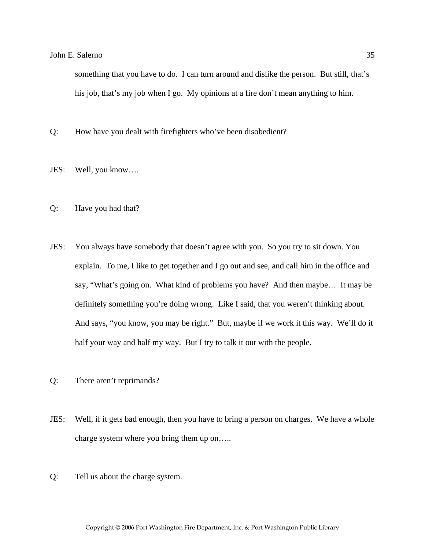something that you have to do. I can turn around and dislike the person. But still, that's his job, that's my job when I go. My opinions at a fire don't mean anything to him.

- Q: How have you dealt with firefighters who've been disobedient?
- JES: Well, you know….
- Q: Have you had that?
- JES: You always have somebody that doesn't agree with you. So you try to sit down. You explain. To me, I like to get together and I go out and see, and call him in the office and say, "What's going on. What kind of problems you have? And then maybe… It may be definitely something you're doing wrong. Like I said, that you weren't thinking about. And says, "you know, you may be right." But, maybe if we work it this way. We'll do it half your way and half my way. But I try to talk it out with the people.
- Q: There aren't reprimands?
- JES: Well, if it gets bad enough, then you have to bring a person on charges. We have a whole charge system where you bring them up on…..
- Q: Tell us about the charge system.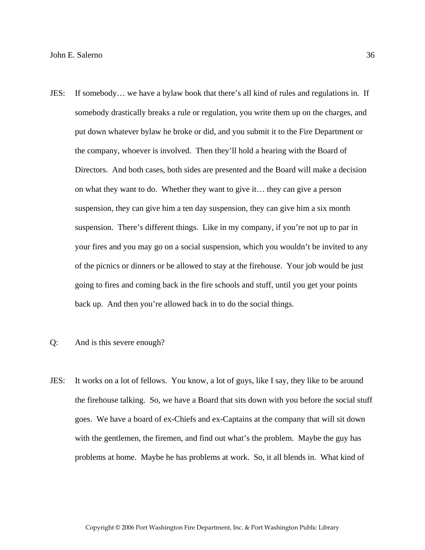- JES: If somebody… we have a bylaw book that there's all kind of rules and regulations in. If somebody drastically breaks a rule or regulation, you write them up on the charges, and put down whatever bylaw he broke or did, and you submit it to the Fire Department or the company, whoever is involved. Then they'll hold a hearing with the Board of Directors. And both cases, both sides are presented and the Board will make a decision on what they want to do. Whether they want to give it… they can give a person suspension, they can give him a ten day suspension, they can give him a six month suspension. There's different things. Like in my company, if you're not up to par in your fires and you may go on a social suspension, which you wouldn't be invited to any of the picnics or dinners or be allowed to stay at the firehouse. Your job would be just going to fires and coming back in the fire schools and stuff, until you get your points back up. And then you're allowed back in to do the social things.
- Q: And is this severe enough?
- JES: It works on a lot of fellows. You know, a lot of guys, like I say, they like to be around the firehouse talking. So, we have a Board that sits down with you before the social stuff goes. We have a board of ex-Chiefs and ex-Captains at the company that will sit down with the gentlemen, the firemen, and find out what's the problem. Maybe the guy has problems at home. Maybe he has problems at work. So, it all blends in. What kind of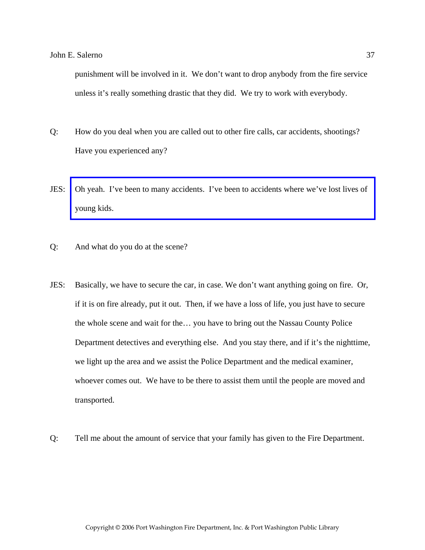punishment will be involved in it. We don't want to drop anybody from the fire service unless it's really something drastic that they did. We try to work with everybody.

- Q: How do you deal when you are called out to other fire calls, car accidents, shootings? Have you experienced any?
- JES: [Oh yeah. I've been to many accidents. I've been to accidents where we've lost lives of](http://www.pwfdhistory.com/trans/salernoj_trans/news_cocks348a.jpg)  young kids.
- Q: And what do you do at the scene?
- JES: Basically, we have to secure the car, in case. We don't want anything going on fire. Or, if it is on fire already, put it out. Then, if we have a loss of life, you just have to secure the whole scene and wait for the… you have to bring out the Nassau County Police Department detectives and everything else. And you stay there, and if it's the nighttime, we light up the area and we assist the Police Department and the medical examiner, whoever comes out. We have to be there to assist them until the people are moved and transported.
- Q: Tell me about the amount of service that your family has given to the Fire Department.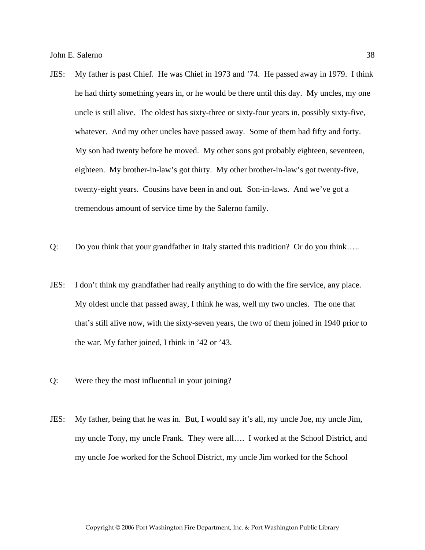- JES: My father is past Chief. He was Chief in 1973 and '74. He passed away in 1979. I think he had thirty something years in, or he would be there until this day. My uncles, my one uncle is still alive. The oldest has sixty-three or sixty-four years in, possibly sixty-five, whatever. And my other uncles have passed away. Some of them had fifty and forty. My son had twenty before he moved. My other sons got probably eighteen, seventeen, eighteen. My brother-in-law's got thirty. My other brother-in-law's got twenty-five, twenty-eight years. Cousins have been in and out. Son-in-laws. And we've got a tremendous amount of service time by the Salerno family.
- Q: Do you think that your grandfather in Italy started this tradition? Or do you think…..
- JES: I don't think my grandfather had really anything to do with the fire service, any place. My oldest uncle that passed away, I think he was, well my two uncles. The one that that's still alive now, with the sixty-seven years, the two of them joined in 1940 prior to the war. My father joined, I think in '42 or '43.
- Q: Were they the most influential in your joining?
- JES: My father, being that he was in. But, I would say it's all, my uncle Joe, my uncle Jim, my uncle Tony, my uncle Frank. They were all…. I worked at the School District, and my uncle Joe worked for the School District, my uncle Jim worked for the School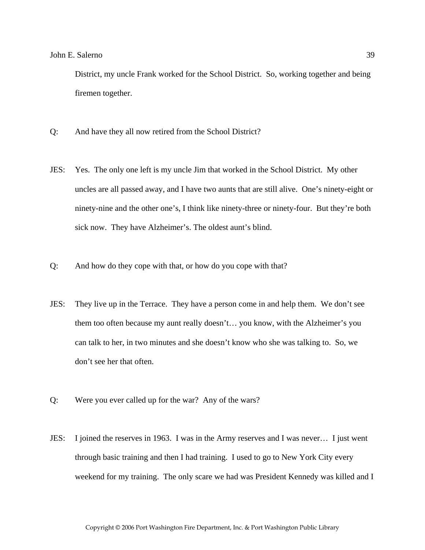District, my uncle Frank worked for the School District. So, working together and being firemen together.

- Q: And have they all now retired from the School District?
- JES: Yes. The only one left is my uncle Jim that worked in the School District. My other uncles are all passed away, and I have two aunts that are still alive. One's ninety-eight or ninety-nine and the other one's, I think like ninety-three or ninety-four. But they're both sick now. They have Alzheimer's. The oldest aunt's blind.
- Q: And how do they cope with that, or how do you cope with that?
- JES: They live up in the Terrace. They have a person come in and help them. We don't see them too often because my aunt really doesn't… you know, with the Alzheimer's you can talk to her, in two minutes and she doesn't know who she was talking to. So, we don't see her that often.
- Q: Were you ever called up for the war? Any of the wars?
- JES: I joined the reserves in 1963. I was in the Army reserves and I was never… I just went through basic training and then I had training. I used to go to New York City every weekend for my training. The only scare we had was President Kennedy was killed and I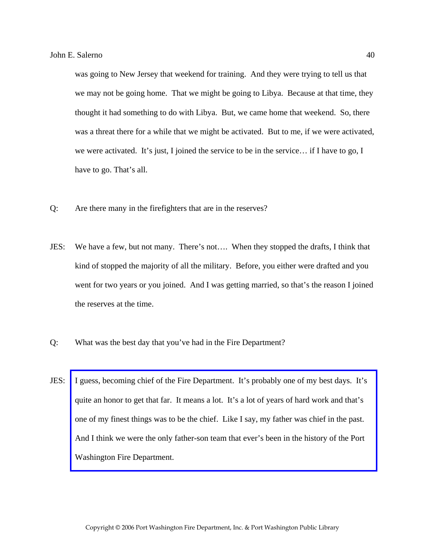was going to New Jersey that weekend for training. And they were trying to tell us that we may not be going home. That we might be going to Libya. Because at that time, they thought it had something to do with Libya. But, we came home that weekend. So, there was a threat there for a while that we might be activated. But to me, if we were activated, we were activated. It's just, I joined the service to be in the service… if I have to go, I have to go. That's all.

- Q: Are there many in the firefighters that are in the reserves?
- JES: We have a few, but not many. There's not…. When they stopped the drafts, I think that kind of stopped the majority of all the military. Before, you either were drafted and you went for two years or you joined. And I was getting married, so that's the reason I joined the reserves at the time.
- Q: What was the best day that you've had in the Fire Department?
- JES: [I guess, becoming chief of the Fire Department. It's probably one of my best days. It's](http://www.pwfdhistory.com/trans/salernoj_trans/pwfd_news028a.pdf)  quite an honor to get that far. It means a lot. It's a lot of years of hard work and that's one of my finest things was to be the chief. Like I say, my father was chief in the past. And I think we were the only father-son team that ever's been in the history of the Port Washington Fire Department.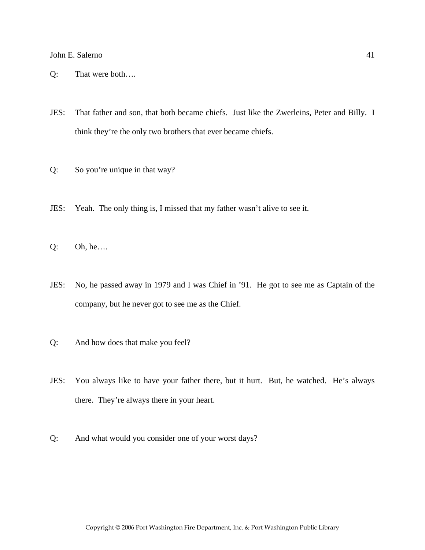- Q: That were both….
- JES: That father and son, that both became chiefs. Just like the Zwerleins, Peter and Billy. I think they're the only two brothers that ever became chiefs.
- Q: So you're unique in that way?
- JES: Yeah. The only thing is, I missed that my father wasn't alive to see it.
- Q: Oh, he….
- JES: No, he passed away in 1979 and I was Chief in '91. He got to see me as Captain of the company, but he never got to see me as the Chief.
- Q: And how does that make you feel?
- JES: You always like to have your father there, but it hurt. But, he watched. He's always there. They're always there in your heart.
- Q: And what would you consider one of your worst days?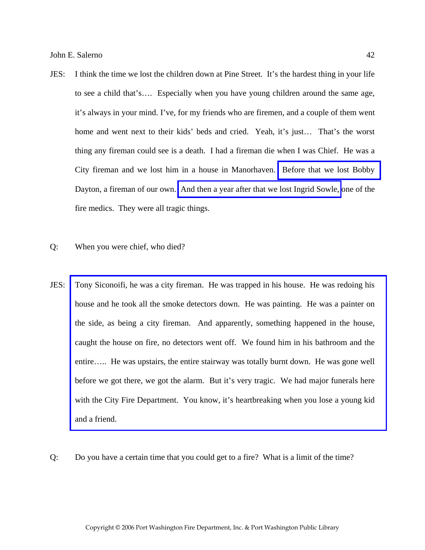- JES: I think the time we lost the children down at Pine Street. It's the hardest thing in your life to see a child that's…. Especially when you have young children around the same age, it's always in your mind. I've, for my friends who are firemen, and a couple of them went home and went next to their kids' beds and cried. Yeah, it's just… That's the worst thing any fireman could see is a death. I had a fireman die when I was Chief. He was a City fireman and we lost him in a house in Manorhaven. [Before that we lost Bobby](http://www.pwfdhistory.com/trans/salernoj_trans/pnews881201_pz.pdf)  Dayton, a fireman of our own. [And then a year after that we lost Ingrid Sowle,](http://www.pwfdhistory.com/trans/salernoj_trans/sowle_pz.pdf) one of the fire medics. They were all tragic things.
- Q: When you were chief, who died?
- JES: [Tony Siconoifi, he was a city fireman. He was trapped in his house. He was redoing his](http://www.pwfdhistory.com/trans/salernoj_trans/pnews921112_pz.pdf)  house and he took all the smoke detectors down. He was painting. He was a painter on the side, as being a city fireman. And apparently, something happened in the house, caught the house on fire, no detectors went off. We found him in his bathroom and the entire….. He was upstairs, the entire stairway was totally burnt down. He was gone well before we got there, we got the alarm. But it's very tragic. We had major funerals here with the City Fire Department. You know, it's heartbreaking when you lose a young kid and a friend.
- Q: Do you have a certain time that you could get to a fire? What is a limit of the time?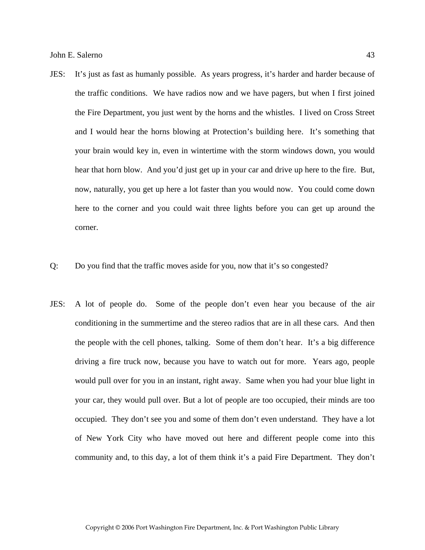- JES: It's just as fast as humanly possible. As years progress, it's harder and harder because of the traffic conditions. We have radios now and we have pagers, but when I first joined the Fire Department, you just went by the horns and the whistles. I lived on Cross Street and I would hear the horns blowing at Protection's building here. It's something that your brain would key in, even in wintertime with the storm windows down, you would hear that horn blow. And you'd just get up in your car and drive up here to the fire. But, now, naturally, you get up here a lot faster than you would now. You could come down here to the corner and you could wait three lights before you can get up around the corner.
- Q: Do you find that the traffic moves aside for you, now that it's so congested?
- JES: A lot of people do. Some of the people don't even hear you because of the air conditioning in the summertime and the stereo radios that are in all these cars. And then the people with the cell phones, talking. Some of them don't hear. It's a big difference driving a fire truck now, because you have to watch out for more. Years ago, people would pull over for you in an instant, right away. Same when you had your blue light in your car, they would pull over. But a lot of people are too occupied, their minds are too occupied. They don't see you and some of them don't even understand. They have a lot of New York City who have moved out here and different people come into this community and, to this day, a lot of them think it's a paid Fire Department. They don't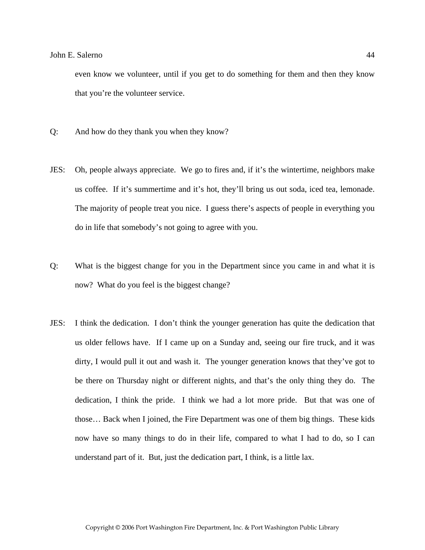even know we volunteer, until if you get to do something for them and then they know that you're the volunteer service.

- Q: And how do they thank you when they know?
- JES: Oh, people always appreciate. We go to fires and, if it's the wintertime, neighbors make us coffee. If it's summertime and it's hot, they'll bring us out soda, iced tea, lemonade. The majority of people treat you nice. I guess there's aspects of people in everything you do in life that somebody's not going to agree with you.
- Q: What is the biggest change for you in the Department since you came in and what it is now? What do you feel is the biggest change?
- JES: I think the dedication. I don't think the younger generation has quite the dedication that us older fellows have. If I came up on a Sunday and, seeing our fire truck, and it was dirty, I would pull it out and wash it. The younger generation knows that they've got to be there on Thursday night or different nights, and that's the only thing they do. The dedication, I think the pride. I think we had a lot more pride. But that was one of those… Back when I joined, the Fire Department was one of them big things. These kids now have so many things to do in their life, compared to what I had to do, so I can understand part of it. But, just the dedication part, I think, is a little lax.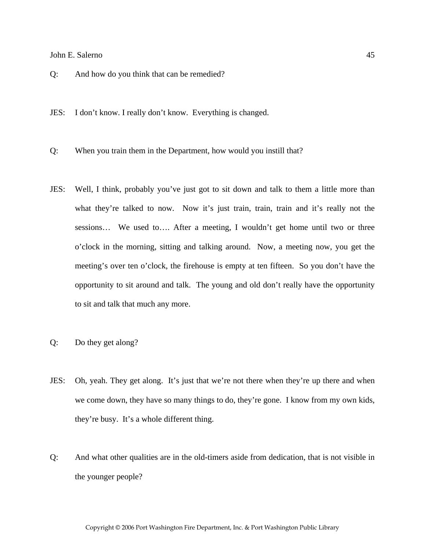- Q: And how do you think that can be remedied?
- JES: I don't know. I really don't know. Everything is changed.
- Q: When you train them in the Department, how would you instill that?
- JES: Well, I think, probably you've just got to sit down and talk to them a little more than what they're talked to now. Now it's just train, train, train and it's really not the sessions… We used to…. After a meeting, I wouldn't get home until two or three o'clock in the morning, sitting and talking around. Now, a meeting now, you get the meeting's over ten o'clock, the firehouse is empty at ten fifteen. So you don't have the opportunity to sit around and talk. The young and old don't really have the opportunity to sit and talk that much any more.
- Q: Do they get along?
- JES: Oh, yeah. They get along. It's just that we're not there when they're up there and when we come down, they have so many things to do, they're gone. I know from my own kids, they're busy. It's a whole different thing.
- Q: And what other qualities are in the old-timers aside from dedication, that is not visible in the younger people?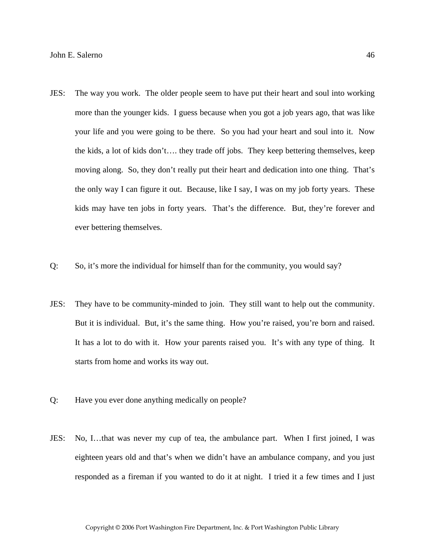- JES: The way you work. The older people seem to have put their heart and soul into working more than the younger kids. I guess because when you got a job years ago, that was like your life and you were going to be there. So you had your heart and soul into it. Now the kids, a lot of kids don't…. they trade off jobs. They keep bettering themselves, keep moving along. So, they don't really put their heart and dedication into one thing. That's the only way I can figure it out. Because, like I say, I was on my job forty years. These kids may have ten jobs in forty years. That's the difference. But, they're forever and ever bettering themselves.
- Q: So, it's more the individual for himself than for the community, you would say?
- JES: They have to be community-minded to join. They still want to help out the community. But it is individual. But, it's the same thing. How you're raised, you're born and raised. It has a lot to do with it. How your parents raised you. It's with any type of thing. It starts from home and works its way out.
- Q: Have you ever done anything medically on people?
- JES: No, I…that was never my cup of tea, the ambulance part. When I first joined, I was eighteen years old and that's when we didn't have an ambulance company, and you just responded as a fireman if you wanted to do it at night. I tried it a few times and I just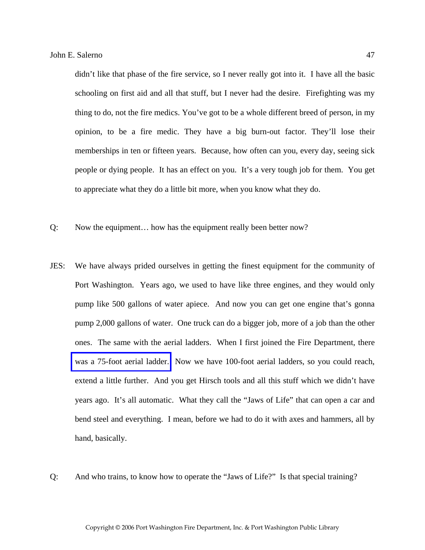didn't like that phase of the fire service, so I never really got into it. I have all the basic schooling on first aid and all that stuff, but I never had the desire. Firefighting was my thing to do, not the fire medics. You've got to be a whole different breed of person, in my opinion, to be a fire medic. They have a big burn-out factor. They'll lose their memberships in ten or fifteen years. Because, how often can you, every day, seeing sick people or dying people. It has an effect on you. It's a very tough job for them. You get to appreciate what they do a little bit more, when you know what they do.

- Q: Now the equipment… how has the equipment really been better now?
- JES: We have always prided ourselves in getting the finest equipment for the community of Port Washington. Years ago, we used to have like three engines, and they would only pump like 500 gallons of water apiece. And now you can get one engine that's gonna pump 2,000 gallons of water. One truck can do a bigger job, more of a job than the other ones. The same with the aerial ladders. When I first joined the Fire Department, there [was a 75-foot aerial ladder.](http://www.pwfdhistory.com/trans/salernoj_trans/ahlco_truck04_web.jpg) Now we have 100-foot aerial ladders, so you could reach, extend a little further. And you get Hirsch tools and all this stuff which we didn't have years ago. It's all automatic. What they call the "Jaws of Life" that can open a car and bend steel and everything. I mean, before we had to do it with axes and hammers, all by hand, basically.
- Q: And who trains, to know how to operate the "Jaws of Life?" Is that special training?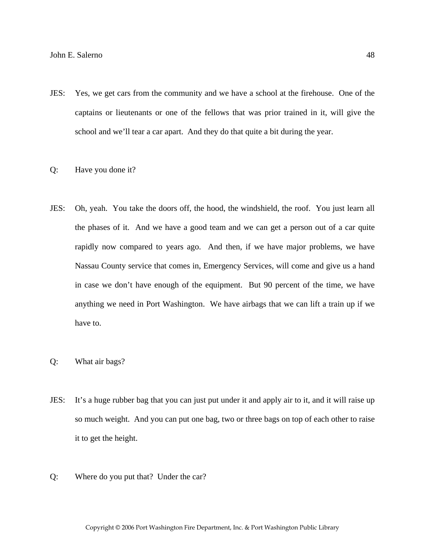- JES: Yes, we get cars from the community and we have a school at the firehouse. One of the captains or lieutenants or one of the fellows that was prior trained in it, will give the school and we'll tear a car apart. And they do that quite a bit during the year.
- Q: Have you done it?
- JES: Oh, yeah. You take the doors off, the hood, the windshield, the roof. You just learn all the phases of it. And we have a good team and we can get a person out of a car quite rapidly now compared to years ago. And then, if we have major problems, we have Nassau County service that comes in, Emergency Services, will come and give us a hand in case we don't have enough of the equipment. But 90 percent of the time, we have anything we need in Port Washington. We have airbags that we can lift a train up if we have to.
- Q: What air bags?
- JES: It's a huge rubber bag that you can just put under it and apply air to it, and it will raise up so much weight. And you can put one bag, two or three bags on top of each other to raise it to get the height.
- Q: Where do you put that? Under the car?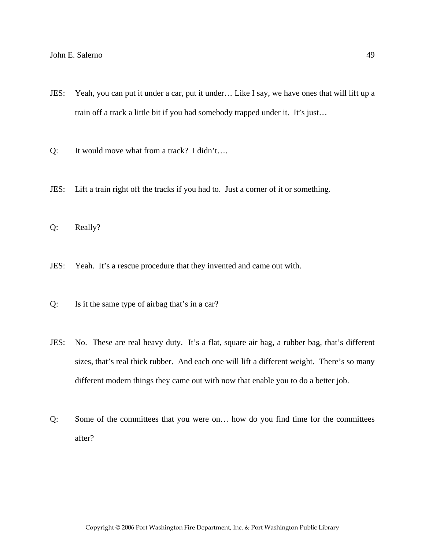- JES: Yeah, you can put it under a car, put it under… Like I say, we have ones that will lift up a train off a track a little bit if you had somebody trapped under it. It's just…
- Q: It would move what from a track? I didn't….
- JES: Lift a train right off the tracks if you had to. Just a corner of it or something.
- Q: Really?
- JES: Yeah. It's a rescue procedure that they invented and came out with.
- Q: Is it the same type of airbag that's in a car?
- JES: No. These are real heavy duty. It's a flat, square air bag, a rubber bag, that's different sizes, that's real thick rubber. And each one will lift a different weight. There's so many different modern things they came out with now that enable you to do a better job.
- Q: Some of the committees that you were on… how do you find time for the committees after?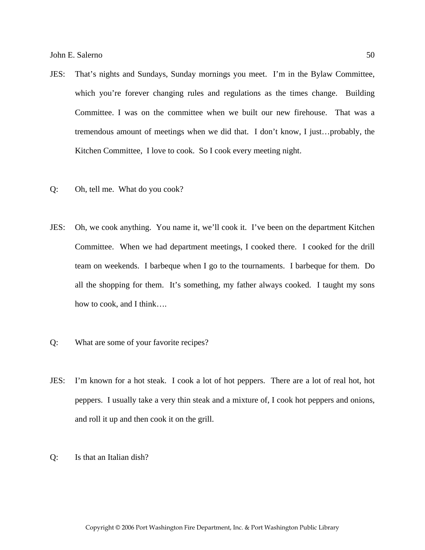- JES: That's nights and Sundays, Sunday mornings you meet. I'm in the Bylaw Committee, which you're forever changing rules and regulations as the times change. Building Committee. I was on the committee when we built our new firehouse. That was a tremendous amount of meetings when we did that. I don't know, I just…probably, the Kitchen Committee, I love to cook. So I cook every meeting night.
- Q: Oh, tell me. What do you cook?
- JES: Oh, we cook anything. You name it, we'll cook it. I've been on the department Kitchen Committee. When we had department meetings, I cooked there. I cooked for the drill team on weekends. I barbeque when I go to the tournaments. I barbeque for them. Do all the shopping for them. It's something, my father always cooked. I taught my sons how to cook, and I think….
- Q: What are some of your favorite recipes?
- JES: I'm known for a hot steak. I cook a lot of hot peppers. There are a lot of real hot, hot peppers. I usually take a very thin steak and a mixture of, I cook hot peppers and onions, and roll it up and then cook it on the grill.
- Q: Is that an Italian dish?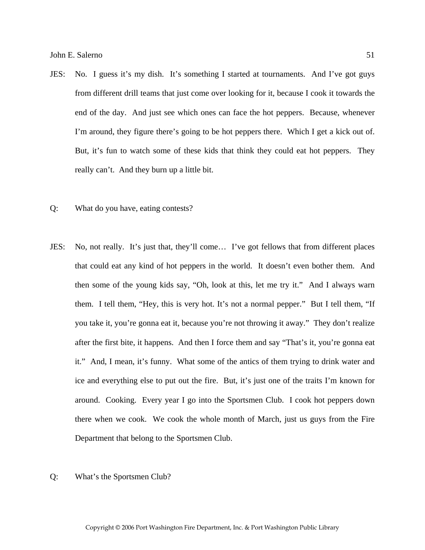- JES: No. I guess it's my dish. It's something I started at tournaments. And I've got guys from different drill teams that just come over looking for it, because I cook it towards the end of the day. And just see which ones can face the hot peppers. Because, whenever I'm around, they figure there's going to be hot peppers there. Which I get a kick out of. But, it's fun to watch some of these kids that think they could eat hot peppers. They really can't. And they burn up a little bit.
- Q: What do you have, eating contests?
- JES: No, not really. It's just that, they'll come… I've got fellows that from different places that could eat any kind of hot peppers in the world. It doesn't even bother them. And then some of the young kids say, "Oh, look at this, let me try it." And I always warn them. I tell them, "Hey, this is very hot. It's not a normal pepper." But I tell them, "If you take it, you're gonna eat it, because you're not throwing it away." They don't realize after the first bite, it happens. And then I force them and say "That's it, you're gonna eat it." And, I mean, it's funny. What some of the antics of them trying to drink water and ice and everything else to put out the fire. But, it's just one of the traits I'm known for around. Cooking. Every year I go into the Sportsmen Club. I cook hot peppers down there when we cook. We cook the whole month of March, just us guys from the Fire Department that belong to the Sportsmen Club.
- Q: What's the Sportsmen Club?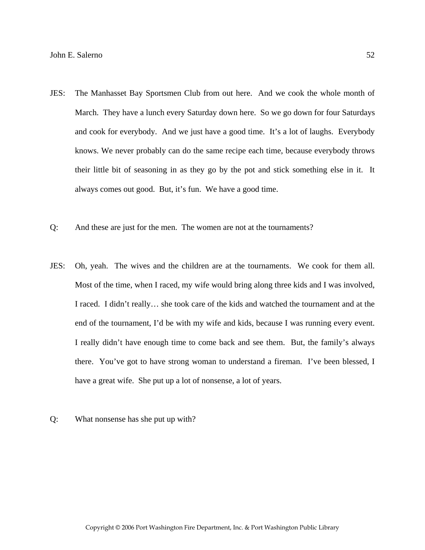- JES: The Manhasset Bay Sportsmen Club from out here. And we cook the whole month of March. They have a lunch every Saturday down here. So we go down for four Saturdays and cook for everybody. And we just have a good time. It's a lot of laughs. Everybody knows. We never probably can do the same recipe each time, because everybody throws their little bit of seasoning in as they go by the pot and stick something else in it. It always comes out good. But, it's fun. We have a good time.
- Q: And these are just for the men. The women are not at the tournaments?
- JES: Oh, yeah. The wives and the children are at the tournaments. We cook for them all. Most of the time, when I raced, my wife would bring along three kids and I was involved, I raced. I didn't really… she took care of the kids and watched the tournament and at the end of the tournament, I'd be with my wife and kids, because I was running every event. I really didn't have enough time to come back and see them. But, the family's always there. You've got to have strong woman to understand a fireman. I've been blessed, I have a great wife. She put up a lot of nonsense, a lot of years.
- Q: What nonsense has she put up with?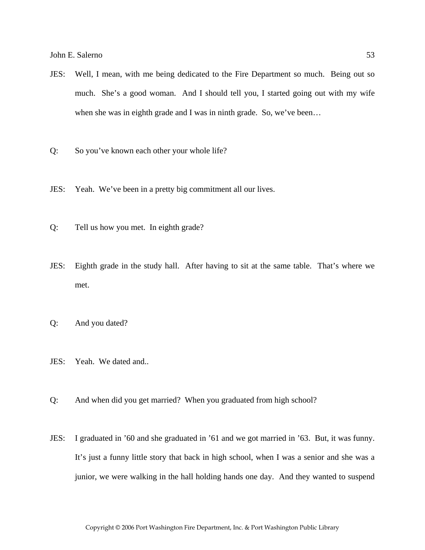- JES: Well, I mean, with me being dedicated to the Fire Department so much. Being out so much. She's a good woman. And I should tell you, I started going out with my wife when she was in eighth grade and I was in ninth grade. So, we've been...
- Q: So you've known each other your whole life?
- JES: Yeah. We've been in a pretty big commitment all our lives.
- Q: Tell us how you met. In eighth grade?
- JES: Eighth grade in the study hall. After having to sit at the same table. That's where we met.
- Q: And you dated?
- JES: Yeah. We dated and..
- Q: And when did you get married? When you graduated from high school?
- JES: I graduated in '60 and she graduated in '61 and we got married in '63. But, it was funny. It's just a funny little story that back in high school, when I was a senior and she was a junior, we were walking in the hall holding hands one day. And they wanted to suspend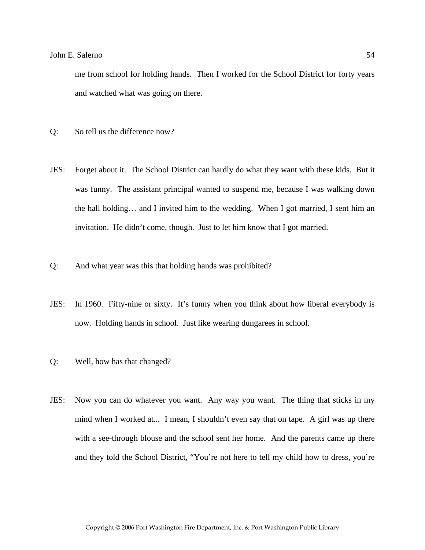me from school for holding hands. Then I worked for the School District for forty years and watched what was going on there.

- Q: So tell us the difference now?
- JES: Forget about it. The School District can hardly do what they want with these kids. But it was funny. The assistant principal wanted to suspend me, because I was walking down the hall holding… and I invited him to the wedding. When I got married, I sent him an invitation. He didn't come, though. Just to let him know that I got married.
- Q: And what year was this that holding hands was prohibited?
- JES: In 1960. Fifty-nine or sixty. It's funny when you think about how liberal everybody is now. Holding hands in school. Just like wearing dungarees in school.
- Q: Well, how has that changed?
- JES: Now you can do whatever you want. Any way you want. The thing that sticks in my mind when I worked at... I mean, I shouldn't even say that on tape. A girl was up there with a see-through blouse and the school sent her home. And the parents came up there and they told the School District, "You're not here to tell my child how to dress, you're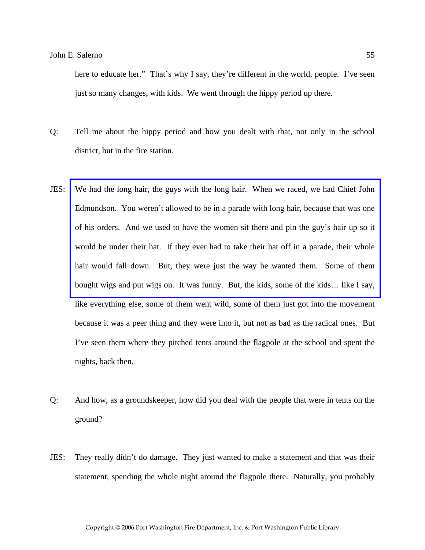here to educate her." That's why I say, they're different in the world, people. I've seen just so many changes, with kids. We went through the hippy period up there.

- Q: Tell me about the hippy period and how you dealt with that, not only in the school district, but in the fire station.
- JES: [We had the long hair, the guys with the long hair. When we raced, we had Chief John](http://www.pwfdhistory.com/trans/salernoj_trans/news_cocks199a_web.jpg)  Edmundson. You weren't allowed to be in a parade with long hair, because that was one of his orders. And we used to have the women sit there and pin the guy's hair up so it would be under their hat. If they ever had to take their hat off in a parade, their whole hair would fall down. But, they were just the way he wanted them. Some of them bought wigs and put wigs on. It was funny. But, the kids, some of the kids… like I say, like everything else, some of them went wild, some of them just got into the movement because it was a peer thing and they were into it, but not as bad as the radical ones. But I've seen them where they pitched tents around the flagpole at the school and spent the nights, back then.
- Q: And how, as a groundskeeper, how did you deal with the people that were in tents on the ground?
- JES: They really didn't do damage. They just wanted to make a statement and that was their statement, spending the whole night around the flagpole there. Naturally, you probably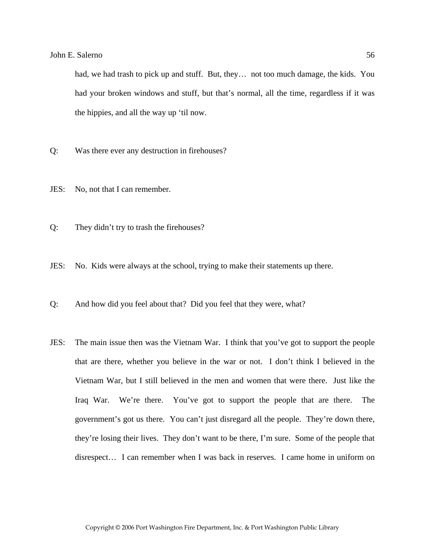had, we had trash to pick up and stuff. But, they… not too much damage, the kids. You had your broken windows and stuff, but that's normal, all the time, regardless if it was the hippies, and all the way up 'til now.

- Q: Was there ever any destruction in firehouses?
- JES: No, not that I can remember.
- Q: They didn't try to trash the firehouses?
- JES: No. Kids were always at the school, trying to make their statements up there.
- Q: And how did you feel about that? Did you feel that they were, what?
- JES: The main issue then was the Vietnam War. I think that you've got to support the people that are there, whether you believe in the war or not. I don't think I believed in the Vietnam War, but I still believed in the men and women that were there. Just like the Iraq War. We're there. You've got to support the people that are there. The government's got us there. You can't just disregard all the people. They're down there, they're losing their lives. They don't want to be there, I'm sure. Some of the people that disrespect… I can remember when I was back in reserves. I came home in uniform on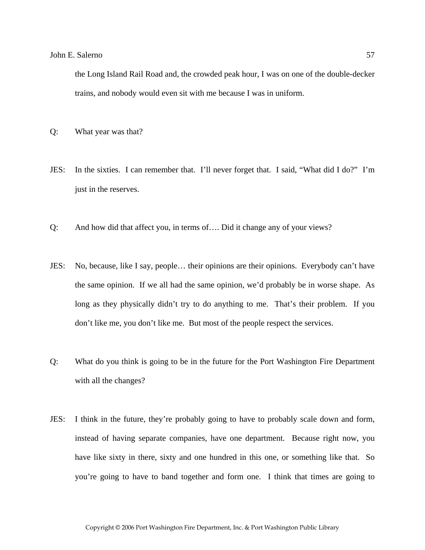the Long Island Rail Road and, the crowded peak hour, I was on one of the double-decker trains, and nobody would even sit with me because I was in uniform.

Q: What year was that?

- JES: In the sixties. I can remember that. I'll never forget that. I said, "What did I do?" I'm just in the reserves.
- Q: And how did that affect you, in terms of…. Did it change any of your views?
- JES: No, because, like I say, people… their opinions are their opinions. Everybody can't have the same opinion. If we all had the same opinion, we'd probably be in worse shape. As long as they physically didn't try to do anything to me. That's their problem. If you don't like me, you don't like me. But most of the people respect the services.
- Q: What do you think is going to be in the future for the Port Washington Fire Department with all the changes?
- JES: I think in the future, they're probably going to have to probably scale down and form, instead of having separate companies, have one department. Because right now, you have like sixty in there, sixty and one hundred in this one, or something like that. So you're going to have to band together and form one. I think that times are going to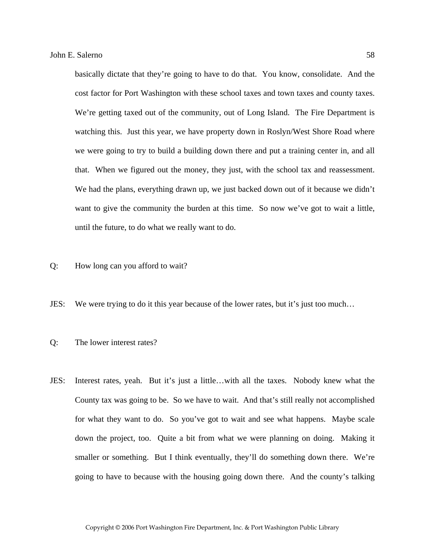basically dictate that they're going to have to do that. You know, consolidate. And the cost factor for Port Washington with these school taxes and town taxes and county taxes. We're getting taxed out of the community, out of Long Island. The Fire Department is watching this. Just this year, we have property down in Roslyn/West Shore Road where we were going to try to build a building down there and put a training center in, and all that. When we figured out the money, they just, with the school tax and reassessment. We had the plans, everything drawn up, we just backed down out of it because we didn't want to give the community the burden at this time. So now we've got to wait a little, until the future, to do what we really want to do.

- Q: How long can you afford to wait?
- JES: We were trying to do it this year because of the lower rates, but it's just too much…
- Q: The lower interest rates?
- JES: Interest rates, yeah. But it's just a little…with all the taxes. Nobody knew what the County tax was going to be. So we have to wait. And that's still really not accomplished for what they want to do. So you've got to wait and see what happens. Maybe scale down the project, too. Quite a bit from what we were planning on doing. Making it smaller or something. But I think eventually, they'll do something down there. We're going to have to because with the housing going down there. And the county's talking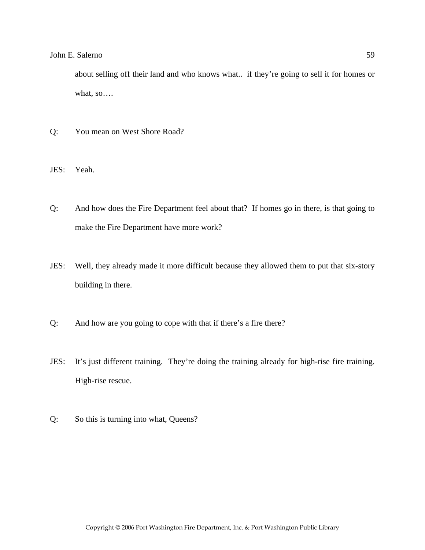about selling off their land and who knows what.. if they're going to sell it for homes or what, so….

- Q: You mean on West Shore Road?
- JES: Yeah.
- Q: And how does the Fire Department feel about that? If homes go in there, is that going to make the Fire Department have more work?
- JES: Well, they already made it more difficult because they allowed them to put that six-story building in there.
- Q: And how are you going to cope with that if there's a fire there?
- JES: It's just different training. They're doing the training already for high-rise fire training. High-rise rescue.
- Q: So this is turning into what, Queens?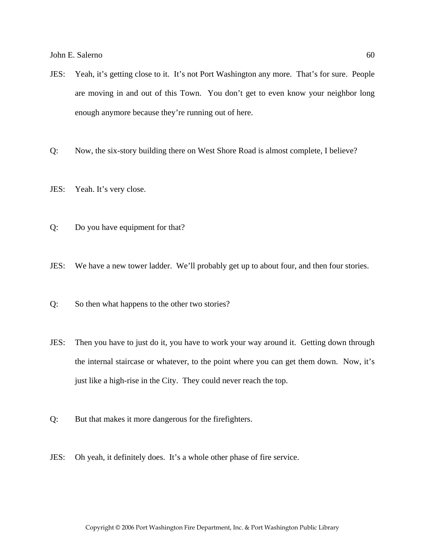- JES: Yeah, it's getting close to it. It's not Port Washington any more. That's for sure. People are moving in and out of this Town. You don't get to even know your neighbor long enough anymore because they're running out of here.
- Q: Now, the six-story building there on West Shore Road is almost complete, I believe?
- JES: Yeah. It's very close.
- Q: Do you have equipment for that?
- JES: We have a new tower ladder. We'll probably get up to about four, and then four stories.
- Q: So then what happens to the other two stories?
- JES: Then you have to just do it, you have to work your way around it. Getting down through the internal staircase or whatever, to the point where you can get them down. Now, it's just like a high-rise in the City. They could never reach the top.
- Q: But that makes it more dangerous for the firefighters.
- JES: Oh yeah, it definitely does. It's a whole other phase of fire service.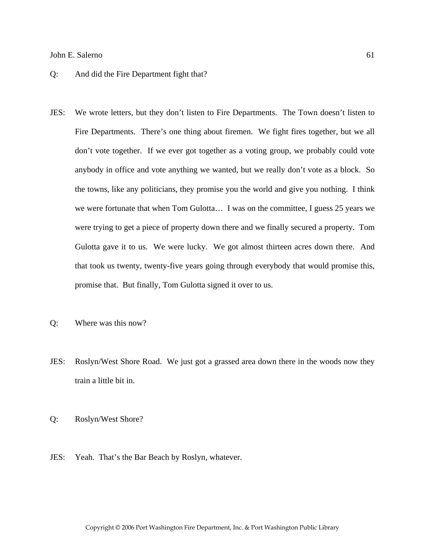### Q: And did the Fire Department fight that?

- JES: We wrote letters, but they don't listen to Fire Departments. The Town doesn't listen to Fire Departments. There's one thing about firemen. We fight fires together, but we all don't vote together. If we ever got together as a voting group, we probably could vote anybody in office and vote anything we wanted, but we really don't vote as a block. So the towns, like any politicians, they promise you the world and give you nothing. I think we were fortunate that when Tom Gulotta… I was on the committee, I guess 25 years we were trying to get a piece of property down there and we finally secured a property. Tom Gulotta gave it to us. We were lucky. We got almost thirteen acres down there. And that took us twenty, twenty-five years going through everybody that would promise this, promise that. But finally, Tom Gulotta signed it over to us.
- Q: Where was this now?
- JES: Roslyn/West Shore Road. We just got a grassed area down there in the woods now they train a little bit in.
- Q: Roslyn/West Shore?
- JES: Yeah. That's the Bar Beach by Roslyn, whatever.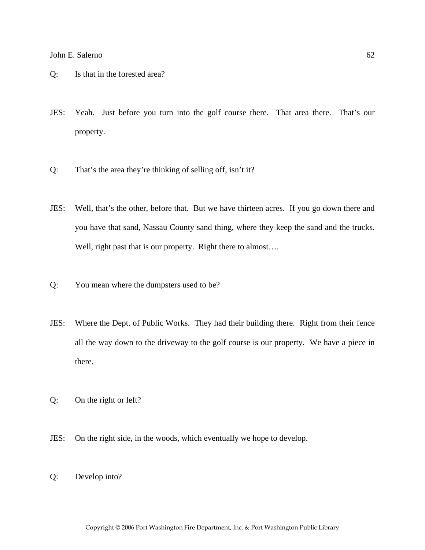- Q: Is that in the forested area?
- JES: Yeah. Just before you turn into the golf course there. That area there. That's our property.
- Q: That's the area they're thinking of selling off, isn't it?
- JES: Well, that's the other, before that. But we have thirteen acres. If you go down there and you have that sand, Nassau County sand thing, where they keep the sand and the trucks. Well, right past that is our property. Right there to almost....
- Q: You mean where the dumpsters used to be?
- JES: Where the Dept. of Public Works. They had their building there. Right from their fence all the way down to the driveway to the golf course is our property. We have a piece in there.
- Q: On the right or left?
- JES: On the right side, in the woods, which eventually we hope to develop.
- Q: Develop into?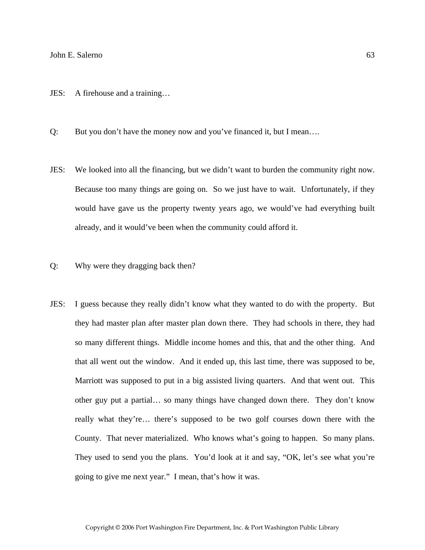- JES: A firehouse and a training…
- Q: But you don't have the money now and you've financed it, but I mean….
- JES: We looked into all the financing, but we didn't want to burden the community right now. Because too many things are going on. So we just have to wait. Unfortunately, if they would have gave us the property twenty years ago, we would've had everything built already, and it would've been when the community could afford it.
- Q: Why were they dragging back then?
- JES: I guess because they really didn't know what they wanted to do with the property. But they had master plan after master plan down there. They had schools in there, they had so many different things. Middle income homes and this, that and the other thing. And that all went out the window. And it ended up, this last time, there was supposed to be, Marriott was supposed to put in a big assisted living quarters. And that went out. This other guy put a partial… so many things have changed down there. They don't know really what they're… there's supposed to be two golf courses down there with the County. That never materialized. Who knows what's going to happen. So many plans. They used to send you the plans. You'd look at it and say, "OK, let's see what you're going to give me next year." I mean, that's how it was.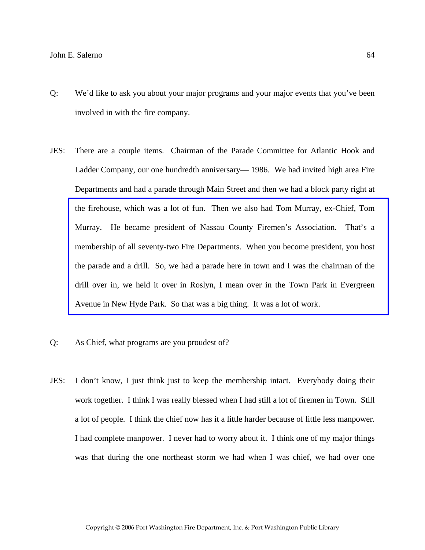- Q: We'd like to ask you about your major programs and your major events that you've been involved in with the fire company.
- JES: There are a couple items. Chairman of the Parade Committee for Atlantic Hook and Ladder Company, our one hundredth anniversary— 1986. We had invited high area Fire Departments and had a parade through Main Street and then we had a block party right at the firehouse, which was a lot of fun. Then we also had Tom Murray, ex-Chief, Tom Murray. He became president of Nassau County Firemen's Association. That's a membership of all seventy-two Fire Departments. When you become president, you host [the parade and a drill. So, we had a parade here in town and I was the chairman of the](http://www.pwfdhistory.com/trans/salernoj_trans/psent_940708_hw_web.pdf)  drill over in, we held it over in Roslyn, I mean over in the Town Park in Evergreen Avenue in New Hyde Park. So that was a big thing. It was a lot of work.
- Q: As Chief, what programs are you proudest of?
- JES: I don't know, I just think just to keep the membership intact. Everybody doing their work together. I think I was really blessed when I had still a lot of firemen in Town. Still a lot of people. I think the chief now has it a little harder because of little less manpower. I had complete manpower. I never had to worry about it. I think one of my major things was that during the one northeast storm we had when I was chief, we had over one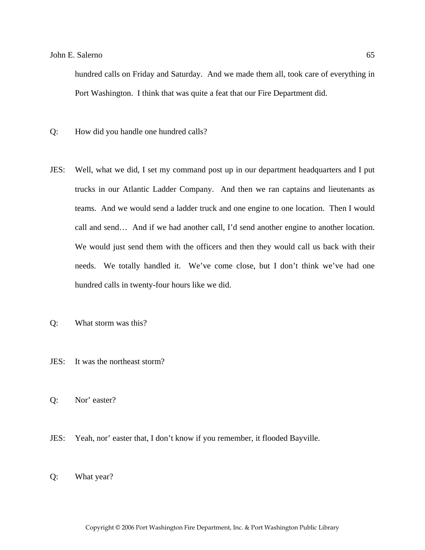hundred calls on Friday and Saturday. And we made them all, took care of everything in Port Washington. I think that was quite a feat that our Fire Department did.

- Q: How did you handle one hundred calls?
- JES: Well, what we did, I set my command post up in our department headquarters and I put trucks in our Atlantic Ladder Company. And then we ran captains and lieutenants as teams. And we would send a ladder truck and one engine to one location. Then I would call and send… And if we had another call, I'd send another engine to another location. We would just send them with the officers and then they would call us back with their needs. We totally handled it. We've come close, but I don't think we've had one hundred calls in twenty-four hours like we did.
- Q: What storm was this?
- JES: It was the northeast storm?
- Q: Nor' easter?
- JES: Yeah, nor' easter that, I don't know if you remember, it flooded Bayville.
- Q: What year?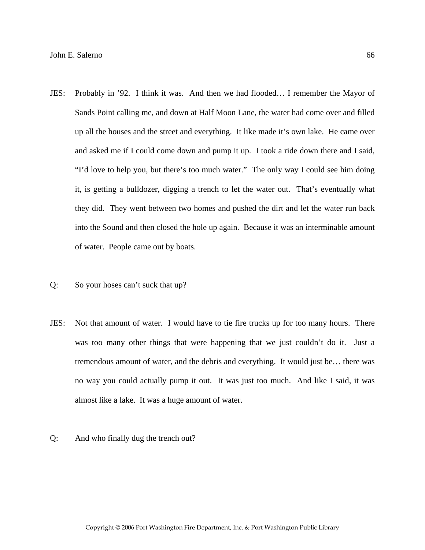- JES: Probably in '92. I think it was. And then we had flooded… I remember the Mayor of Sands Point calling me, and down at Half Moon Lane, the water had come over and filled up all the houses and the street and everything. It like made it's own lake. He came over and asked me if I could come down and pump it up. I took a ride down there and I said, "I'd love to help you, but there's too much water." The only way I could see him doing it, is getting a bulldozer, digging a trench to let the water out. That's eventually what they did. They went between two homes and pushed the dirt and let the water run back into the Sound and then closed the hole up again. Because it was an interminable amount of water. People came out by boats.
- Q: So your hoses can't suck that up?
- JES: Not that amount of water. I would have to tie fire trucks up for too many hours. There was too many other things that were happening that we just couldn't do it. Just a tremendous amount of water, and the debris and everything. It would just be… there was no way you could actually pump it out. It was just too much. And like I said, it was almost like a lake. It was a huge amount of water.
- Q: And who finally dug the trench out?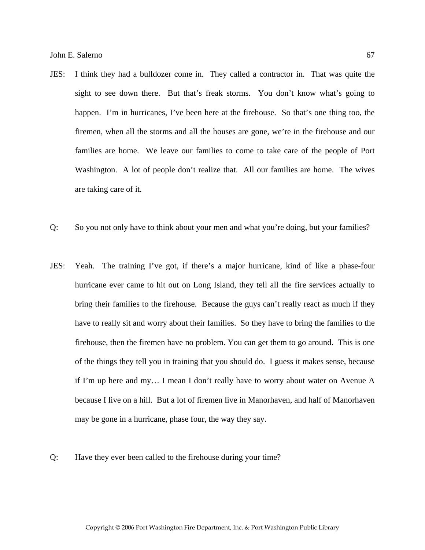- JES: I think they had a bulldozer come in. They called a contractor in. That was quite the sight to see down there. But that's freak storms. You don't know what's going to happen. I'm in hurricanes, I've been here at the firehouse. So that's one thing too, the firemen, when all the storms and all the houses are gone, we're in the firehouse and our families are home. We leave our families to come to take care of the people of Port Washington. A lot of people don't realize that. All our families are home. The wives are taking care of it.
- Q: So you not only have to think about your men and what you're doing, but your families?
- JES: Yeah. The training I've got, if there's a major hurricane, kind of like a phase-four hurricane ever came to hit out on Long Island, they tell all the fire services actually to bring their families to the firehouse. Because the guys can't really react as much if they have to really sit and worry about their families. So they have to bring the families to the firehouse, then the firemen have no problem. You can get them to go around. This is one of the things they tell you in training that you should do. I guess it makes sense, because if I'm up here and my… I mean I don't really have to worry about water on Avenue A because I live on a hill. But a lot of firemen live in Manorhaven, and half of Manorhaven may be gone in a hurricane, phase four, the way they say.
- Q: Have they ever been called to the firehouse during your time?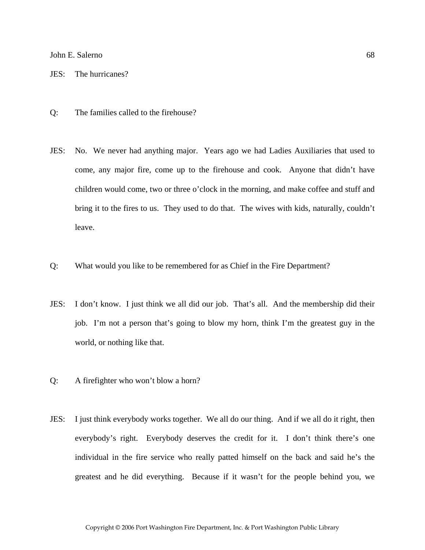JES: The hurricanes?

- Q: The families called to the firehouse?
- JES: No. We never had anything major. Years ago we had Ladies Auxiliaries that used to come, any major fire, come up to the firehouse and cook. Anyone that didn't have children would come, two or three o'clock in the morning, and make coffee and stuff and bring it to the fires to us. They used to do that. The wives with kids, naturally, couldn't leave.
- Q: What would you like to be remembered for as Chief in the Fire Department?
- JES: I don't know. I just think we all did our job. That's all. And the membership did their job. I'm not a person that's going to blow my horn, think I'm the greatest guy in the world, or nothing like that.
- Q: A firefighter who won't blow a horn?
- JES: I just think everybody works together. We all do our thing. And if we all do it right, then everybody's right. Everybody deserves the credit for it. I don't think there's one individual in the fire service who really patted himself on the back and said he's the greatest and he did everything. Because if it wasn't for the people behind you, we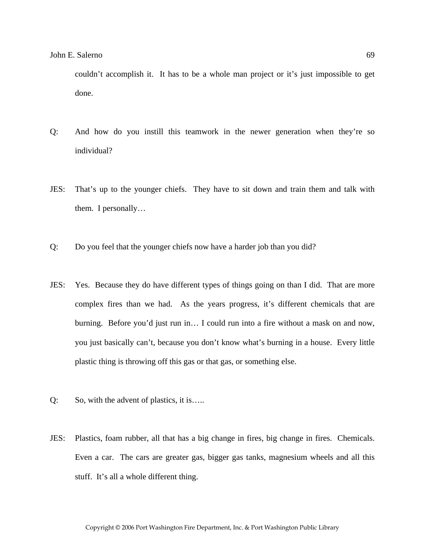couldn't accomplish it. It has to be a whole man project or it's just impossible to get done.

- Q: And how do you instill this teamwork in the newer generation when they're so individual?
- JES: That's up to the younger chiefs. They have to sit down and train them and talk with them. I personally…
- Q: Do you feel that the younger chiefs now have a harder job than you did?
- JES: Yes. Because they do have different types of things going on than I did. That are more complex fires than we had. As the years progress, it's different chemicals that are burning. Before you'd just run in… I could run into a fire without a mask on and now, you just basically can't, because you don't know what's burning in a house. Every little plastic thing is throwing off this gas or that gas, or something else.
- Q: So, with the advent of plastics, it is…..
- JES: Plastics, foam rubber, all that has a big change in fires, big change in fires. Chemicals. Even a car. The cars are greater gas, bigger gas tanks, magnesium wheels and all this stuff. It's all a whole different thing.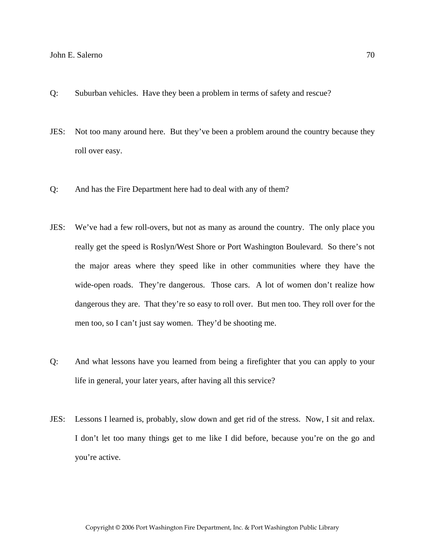- Q: Suburban vehicles. Have they been a problem in terms of safety and rescue?
- JES: Not too many around here. But they've been a problem around the country because they roll over easy.
- Q: And has the Fire Department here had to deal with any of them?
- JES: We've had a few roll-overs, but not as many as around the country. The only place you really get the speed is Roslyn/West Shore or Port Washington Boulevard. So there's not the major areas where they speed like in other communities where they have the wide-open roads. They're dangerous. Those cars. A lot of women don't realize how dangerous they are. That they're so easy to roll over. But men too. They roll over for the men too, so I can't just say women. They'd be shooting me.
- Q: And what lessons have you learned from being a firefighter that you can apply to your life in general, your later years, after having all this service?
- JES: Lessons I learned is, probably, slow down and get rid of the stress. Now, I sit and relax. I don't let too many things get to me like I did before, because you're on the go and you're active.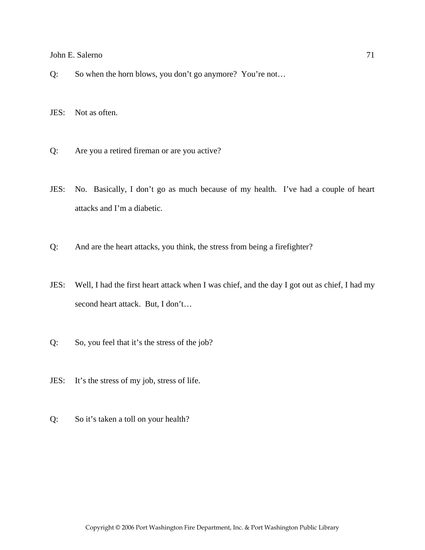Q: So when the horn blows, you don't go anymore? You're not…

JES: Not as often.

- Q: Are you a retired fireman or are you active?
- JES: No. Basically, I don't go as much because of my health. I've had a couple of heart attacks and I'm a diabetic.
- Q: And are the heart attacks, you think, the stress from being a firefighter?
- JES: Well, I had the first heart attack when I was chief, and the day I got out as chief, I had my second heart attack. But, I don't…
- Q: So, you feel that it's the stress of the job?
- JES: It's the stress of my job, stress of life.
- Q: So it's taken a toll on your health?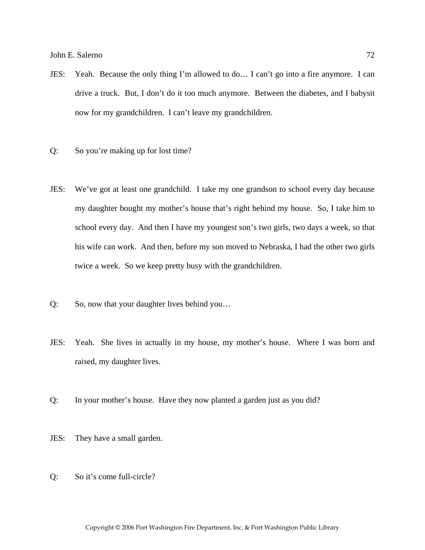- JES: Yeah. Because the only thing I'm allowed to do… I can't go into a fire anymore. I can drive a truck. But, I don't do it too much anymore. Between the diabetes, and I babysit now for my grandchildren. I can't leave my grandchildren.
- Q: So you're making up for lost time?
- JES: We've got at least one grandchild. I take my one grandson to school every day because my daughter bought my mother's house that's right behind my house. So, I take him to school every day. And then I have my youngest son's two girls, two days a week, so that his wife can work. And then, before my son moved to Nebraska, I had the other two girls twice a week. So we keep pretty busy with the grandchildren.
- Q: So, now that your daughter lives behind you…
- JES: Yeah. She lives in actually in my house, my mother's house. Where I was born and raised, my daughter lives.
- Q: In your mother's house. Have they now planted a garden just as you did?
- JES: They have a small garden.
- Q: So it's come full-circle?